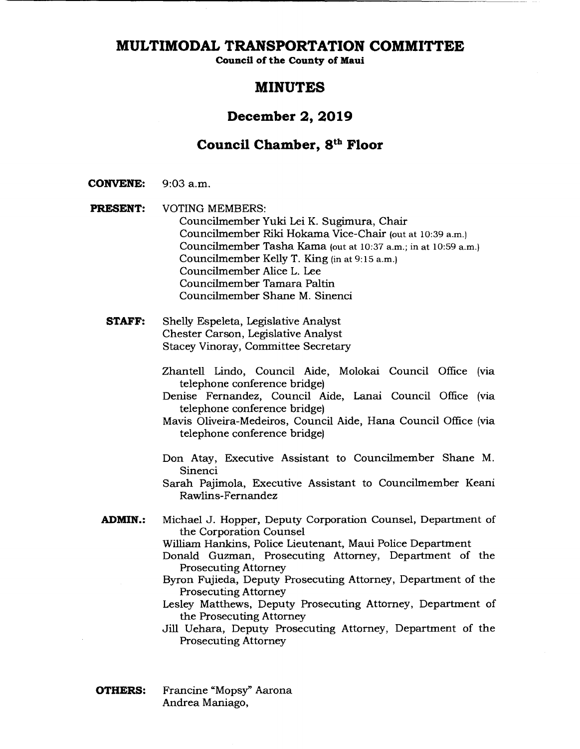**Council of the County of Maui** 

### **MINUTES**

### **December 2, 2019**

### **Council Chamber, 8k" Floor**

- **CONVENE:** 9:03 a.m.
- **PRESENT:** VOTING MEMBERS: Councilmember Yuki Lei K. Sugimura, Chair Councilmember Riki Hokama Vice-Chair (out at 10:39 a.m.) Councilmember Tasha Kama (out at 10:37 a.m.; in at 10:59 a.m.) Councilmember Kelly T. King (in at 9:15 am.) Councilmember Alice L. Lee Councilmember Tamara Paltin Councilmember Shane M. Sinenci
	- **STAFF:** Shelly Espeleta, Legislative Analyst Chester Carson, Legislative Analyst Stacey Vinoray, Committee Secretary
		- Zhantell Lindo, Council Aide, Molokai Council Office (via telephone conference bridge)
		- Denise Fernandez, Council Aide, Lanai Council Office (via telephone conference bridge)

Mavis Oliveira-Medeiros, Council Aide, Hana Council Office (via telephone conference bridge)

Don Atay, Executive Assistant to Councilmember Shane M. Sinenci

Sarah Pajimola, Executive Assistant to Councilmember Keani Rawlins-Fernandez

- **ADMIN.:** Michael J. Hopper, Deputy Corporation Counsel, Department of the Corporation Counsel
	- William Hankins, Police Lieutenant, Maui Police Department
	- Donald Guzman, Prosecuting Attorney, Department of the Prosecuting Attorney
	- Byron Fujieda, Deputy Prosecuting Attorney, Department of the Prosecuting Attorney
	- Lesley Matthews, Deputy Prosecuting Attorney, Department of the Prosecuting Attorney
	- Jill Uehara, Deputy Prosecuting Attorney, Department of the Prosecuting Attorney
- **OTHERS:** Francine "Mopsy" Aarona Andrea Maniago,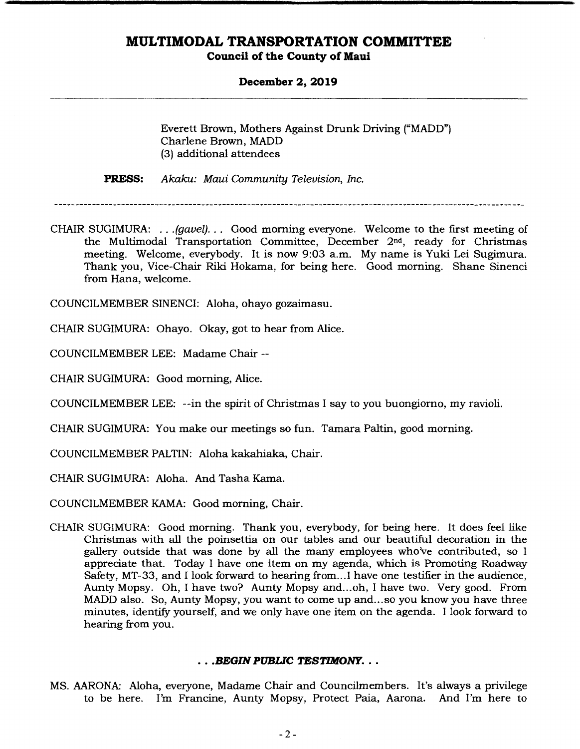### **Council of the County of Maui**

#### **December 2, 2019**

Everett Brown, Mothers Against Drunk Driving ("MADD") Charlene Brown, MADD (3) additional attendees

**PRESS:** *Akaku: Maui Community Television, Inc.* 

CHAIR SUGIMURA: ... *(gavel)...* Good morning everyone. Welcome to the first meeting of the Multimodal Transportation Committee, December 2nd, ready for Christmas meeting. Welcome, everybody. It is now 9:03 a.m. My name is Yuki Lei Sugimura. Thank you, Vice-Chair Riki Hokama, for being here. Good morning. Shane Sinenci from Hana, welcome.

COUNCILMEMBER SINENCI: Aloha, ohayo gozaimasu.

CHAIR SUGIMURA: Ohayo. Okay, got to hear from Alice.

COUNCILMEMBER LEE: Madame Chair --

CHAIR SUGIMURA: Good morning, Alice.

COUNCILMEMBER LEE: --in the spirit of Christmas I say to you buongiorno, my ravioli.

CHAIR SUGIMURA: You make our meetings so fun. Tamara Paltin, good morning.

COUNCILMEMBER PALTIN: Aloha kakahiaka, Chair.

CHAIR SUGIMURA: Aloha. And Tasha Kama.

COUNCILMEMBER KAMA: Good morning, Chair.

CHAIR SUGIMURA: Good morning. Thank you, everybody, for being here. It does feel like Christmas with all the poinsettia on our tables and our beautiful decoration in the gallery outside that was done by all the many employees who've contributed, so I appreciate that. Today I have one item on my agenda, which is Promoting Roadway Safety, MT-33, and I look forward to hearing from... I have one testifier in the audience, Aunty Mopsy. Oh, I have two? Aunty Mopsy and.. .oh, I have two. Very good. From MADD also. So, Aunty Mopsy, you want to come up and... so you know you have three minutes, identify yourself, and we only have one item on the agenda. I look forward to hearing from you.

### *• .BEGIN PUBLIC TESTIMONY...*

MS. AARONA: Aloha, everyone, Madame Chair and Councilmembers. It's always a privilege to be here. I'm Francine, Aunty Mopsy, Protect Paia, Aarona. And I'm here to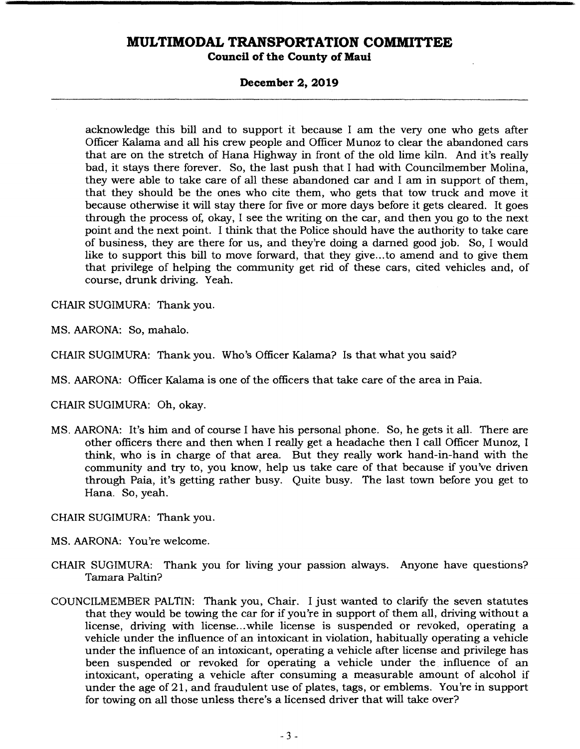#### **December 2, 2019**

acknowledge this bill and to support it because I am the very one who gets after Officer Kalama and all his crew people and Officer Munoz to clear the abandoned cars that are on the stretch of Hana Highway in front of the old lime kiln. And it's really bad, it stays there forever. So, the last push that I had with Councilmember Molina, they were able to take care of all these abandoned car and I am in support of them, that they should be the ones who cite them, who gets that tow truck and move it because otherwise it will stay there for five or more days before it gets cleared. It goes through the process of, okay, I see the writing on the car, and then you go to the next point and the next point. I think that the Police should have the authority to take care of business, they are there for us, and they're doing a darned good job. So, I would like to support this bill to move forward, that they give.., to amend and to give them that privilege of helping the community get rid of these cars, cited vehicles and, of course, drunk driving. Yeah.

CHAIR SUGIMURA: Thank you.

MS. AARONA: So, mahalo.

CHAIR SUGIMURA: Thank you. Who's Officer Kalama? Is that what you said?

MS. AARONA: Officer Kalama is one of the officers that take care of the area in Paia.

CHAIR SUGIMURA: Oh, okay.

- MS. AARONA: It's him and of course I have his personal phone. So, he gets it all. There are other officers there and then when I really get a headache then I call Officer Munoz, I think, who is in charge of that area. But they really work hand-in-hand with the community and try to, you know, help us take care of that because if you've driven through Paia, it's getting rather busy. Quite busy. The last town before you get to Hana. So, yeah.
- CHAIR SUGIMURA: Thank you.
- MS. AARONA: You're welcome.
- CHAIR SUGIMURA: Thank you for living your passion always. Anyone have questions? Tamara Paltin?
- COUNCILMEMBER PALTIN: Thank you, Chair. I just wanted to clarify the seven statutes that they would be towing the car for if you're in support of them all, driving without a license, driving with license.. .while license is suspended or revoked, operating a vehicle under the influence of an intoxicant in violation, habitually operating a vehicle under the influence of an intoxicant, operating a vehicle after license and privilege has been suspended or revoked for operating a vehicle under the influence of an intoxicant, operating a vehicle after consuming a measurable amount of alcohol if under the age of 21, and fraudulent use of plates, tags, or emblems. You're in support for towing on all those unless there's a licensed driver that will take over?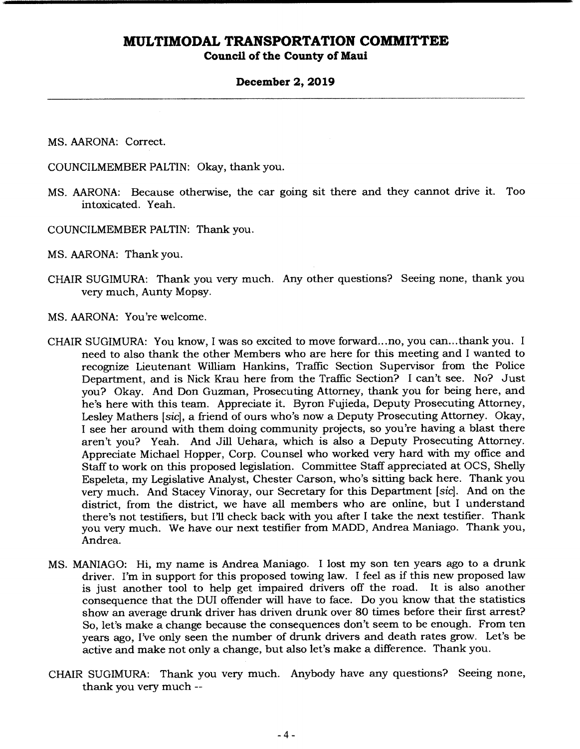#### **Council of the County of Maui**

#### **December 2, 2019**

MS. AARONA: Correct.

COUNCILMEMBER PALTIN: Okay, thank you.

- MS. AARONA: Because otherwise, the car going sit there and they cannot drive it. Too intoxicated. Yeah.
- COUNCILMEMBER PALTIN: Thank you.

MS. AARONA: Thank you.

- CHAIR SUGIMURA: Thank you very much. Any other questions? Seeing none, thank you very much, Aunty Mopsy.
- MS. AARONA: You're welcome.
- CHAIR SUGIMURA: You know, I was so excited to move forward.. .no, you can.. .thank you. I need to also thank the other Members who are here for this meeting and I wanted to recognize Lieutenant William Hankins, Traffic Section Supervisor from the Police Department, and is Nick Krau here from the Traffic Section? I can't see. No? Just you? Okay, And Don Guzman, Prosecuting Attorney, thank you for being here, and he's here with this team. Appreciate it. Byron Fujieda, Deputy Prosecuting Attorney, Lesley Mathers *[sic],* a friend of ours who's now a Deputy Prosecuting Attorney. Okay, I see her around with them doing community projects, so you're having a blast there aren't you? Yeah. And Jill Uehara, which is also a Deputy Prosecuting Attorney. Appreciate Michael Hopper, Corp. Counsel who worked very hard with my office and Staff to work on this proposed legislation. Committee Staff appreciated at OCS, Shelly Espeleta, my Legislative Analyst, Chester Carson, who's sitting back here. Thank you very much. And Stacey Vinoray, our Secretary for this Department *[sic].* And on the district, from the district, we have all members who are online, but I understand there's not testifiers, but I'll check back with you after I take the next testifier. Thank you very much. We have our next testifier from MADD, Andrea Maniago. Thank you, Andrea.
- MS. MANIAGO: Hi, my name is Andrea Maniago. I lost my son ten years ago to a drunk driver. I'm in support for this proposed towing law. I feel as if this new proposed law is just another tool to help get impaired drivers off the road. It is also another consequence that the DUI offender will have to face. Do you know that the statistics show an average drunk driver has driven drunk over 80 times before their first arrest? So, let's make a change because the consequences don't seem to be enough. From ten years ago, I've only seen the number of drunk drivers and death rates grow. Let's be active and make not only a change, but also let's make a difference. Thank you.
- CHAIR SUGIMURA: Thank you very much. Anybody have any questions? Seeing none, thank you very much --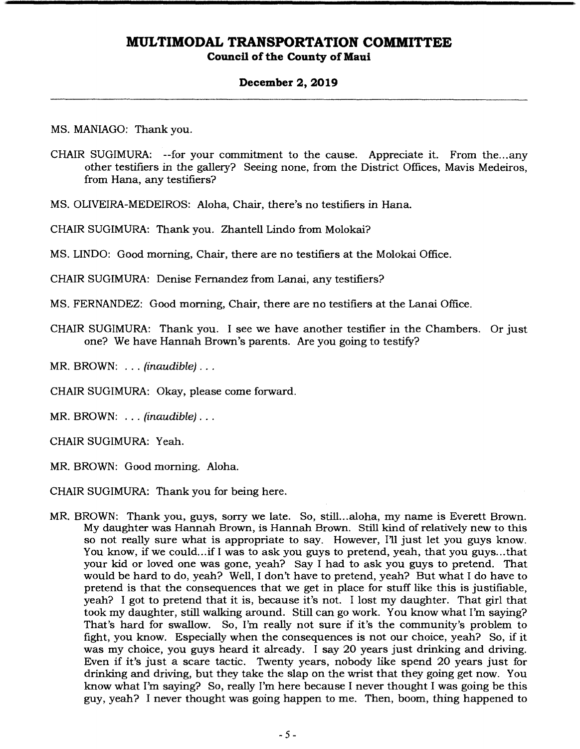### **December 2, 2019**

MS. MANIAGO: Thank you.

CHAIR SUGIMURA: --for your commitment to the cause. Appreciate it. From the... any other testifiers in the gallery? Seeing none, from the District Offices, Mavis Medeiros, from Hana, any testifiers?

MS. OLIVEIRA-MEDEIROS: Aloha, Chair, there's no testifiers in Hana.

CHAIR SUGIMURA: Thank you. Zhantell Lindo from Molokai?

MS. UNDO: Good morning, Chair, there are no testifiers at the Molokai Office.

CHAIR SUGIMURA: Denise Fernandez from Lanai, any testifiers?

MS. FERNANDEZ: Good morning, Chair, there are no testifiers at the Lanai Office.

CHAIR SUGIMURA: Thank you. I see we have another testifier in the Chambers. Or just one? We have Hannah Brown's parents. Are you going to testify?

MR. BROWN: . . . *(*inaudible)...

CHAIR SUGIMURA: Okay, please come forward.

MR. BROWN: ... *(*inaudible)...

CHAIR SUGIMURA: Yeah.

MR. BROWN: Good morning. Aloha.

CHAIR SUGIMURA: Thank you for being here.

MR. BROWN: Thank you, guys, sorry we late. So, still.. aloha, my name is Everett Brown. My daughter was Hannah Brown, is Hannah Brown. Still kind of relatively new to this so not really sure what is appropriate to say. However, I'll just let you guys know. You know, if we could... if I was to ask you guys to pretend, yeah, that you guys... that your kid or loved one was gone, yeah? Say I had to ask you guys to pretend. That would be hard to do, yeah? Well, I don't have to pretend, yeah? But what I do have to pretend is that the consequences that we get in place for stuff like this is justifiable, yeah? I got to pretend that it is, because it's not. I lost my daughter. That girl that took my daughter, still walking around. Still can go work. You know what I'm saying? That's hard for swallow. So, I'm really not sure if it's the community's problem to fight, you know. Especially when the consequences is not our choice, yeah? So, if it was my choice, you guys heard it already. I say 20 years just drinking and driving. Even if it's just a scare tactic. Twenty years, nobody like spend 20 years just for drinking and driving, but they take the slap on the wrist that they going get now. You know what I'm saying? So, really I'm here because I never thought I was going be this guy, yeah? I never thought was going happen to me. Then, boom, thing happened to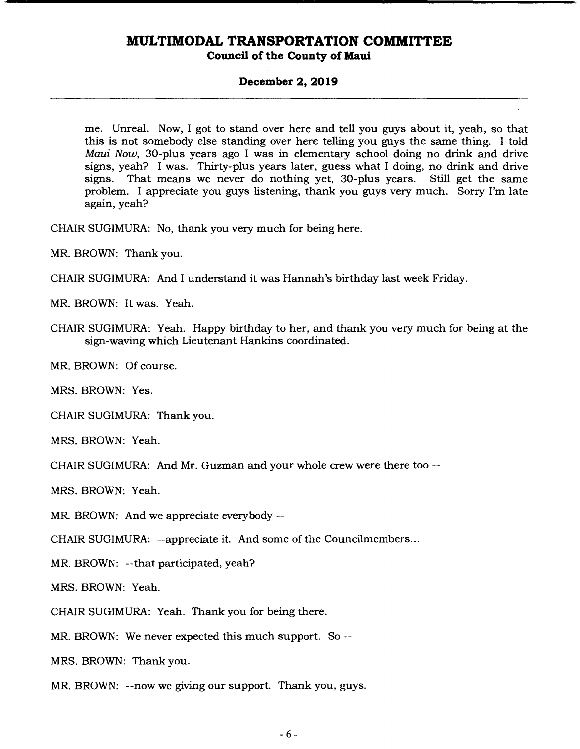#### **Council of the County of Maui**

#### **December 2, 2019**

me. Unreal. Now, I got to stand over here and tell you guys about it, yeah, so that this is not somebody else standing over here telling you guys the same thing. I told *Maui Now, 30-plus* years ago I was in elementary school doing no drink and drive signs, yeah? I was. Thirty-plus years later, guess what I doing, no drink and drive signs. That means we never do nothing yet, 30-plus years. Still get the same problem. I appreciate you guys listening, thank you guys very much. Sorry I'm late again, yeah?

CHAIR SUGIMURA: No, thank you very much for being here.

MR. BROWN: Thank you.

CHAIR SUGIMURA: And I understand it was Hannah's birthday last week Friday.

MR. BROWN: It was. Yeah.

CHAIR SUGIMURA: Yeah. Happy birthday to her, and thank you very much for being at the sign-waving which Lieutenant Hankins coordinated.

MR. BROWN: Of course.

MRS. BROWN: Yes.

CHAIR SUGIMURA: Thank you.

MRS. BROWN: Yeah.

CHAIR SUGIMURA: And Mr. Guzman and your whole crew were there too --

MRS. BROWN: Yeah.

MR. BROWN: And we appreciate everybody --

CHAIR SUGIMURA: --appreciate it. And some of the Councilmembers...

MR. BROWN: --that participated, yeah?

MRS. BROWN: Yeah.

CHAIR SUGIMURA: Yeah. Thank you for being there.

MR. BROWN: We never expected this much support. So --

MRS. BROWN: Thank you.

MR. BROWN: --now we giving our support. Thank you, guys.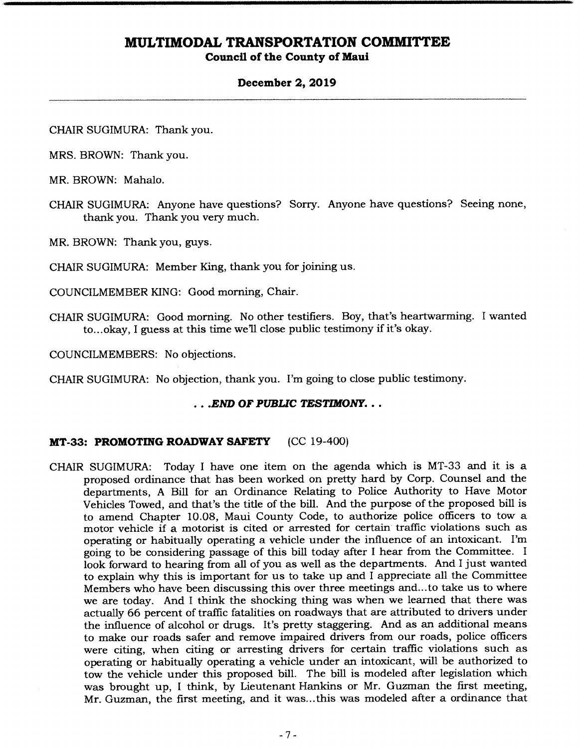#### **Council of the County of Maui**

#### **December 2, 2019**

CHAIR SUGIMURA: Thank you.

MRS. BROWN: Thank you.

MR. BROWN: Mahalo.

CHAIR SUGIMURA: Anyone have questions? Sorry. Anyone have questions? Seeing none, thank you. Thank you very much.

MR. BROWN: Thank you, guys.

CHAIR SUGIMURA: Member King, thank you for joining us.

COUNCILMEMBER KING: Good morning, Chair.

CHAIR SUGIMURA: Good morning. No other testifiers. Boy, that's heartwarming. I wanted to...okay, I guess at this time we'll close public testimony if it's okay.

COUNCILMEMBERS: No objections.

CHAIR SUGIMURA: No objection, thank you. I'm going to close public testimony.

*• .END OF PUBLIC TESTIMONY...* 

#### **MT-33: PROMOTING ROADWAY SAFETY** (CC 19-400)

CHAIR SUGIMURA: Today I have one item on the agenda which is MT-33 and it is a proposed ordinance that has been worked on pretty hard by Corp. Counsel and the departments, A Bill for an Ordinance Relating to Police Authority to Have Motor Vehicles Towed, and that's the title of the bill. And the purpose of the proposed bill is to amend Chapter 10.08, Maui County Code, to authorize police officers to tow a motor vehicle if a motorist is cited or arrested for certain traffic violations such as operating or habitually operating a vehicle under the influence of an intoxicant. I'm going to be considering passage of this bill today alter I hear from the Committee. I look forward to hearing from all of you as well as the departments. And I just wanted to explain why this is important for us to take up and I appreciate all the Committee Members who have been discussing this over three meetings and... to take us to where we are today. And I think the shocking thing was when we learned that there was actually 66 percent of traffic fatalities on roadways that are attributed to drivers under the influence of alcohol or drugs. It's pretty staggering. And as an additional means to make our roads safer and remove impaired drivers from our roads, police officers were citing, when citing or arresting drivers for certain traffic violations such as operating or habitually operating a vehicle under an intoxicant, will be authorized to tow the vehicle under this proposed bill. The bill is modeled alter legislation which was brought up, I think, by Lieutenant Hankins or Mr. Guzman the first meeting, Mr. Guzman, the first meeting, and it was... this was modeled alter a ordinance that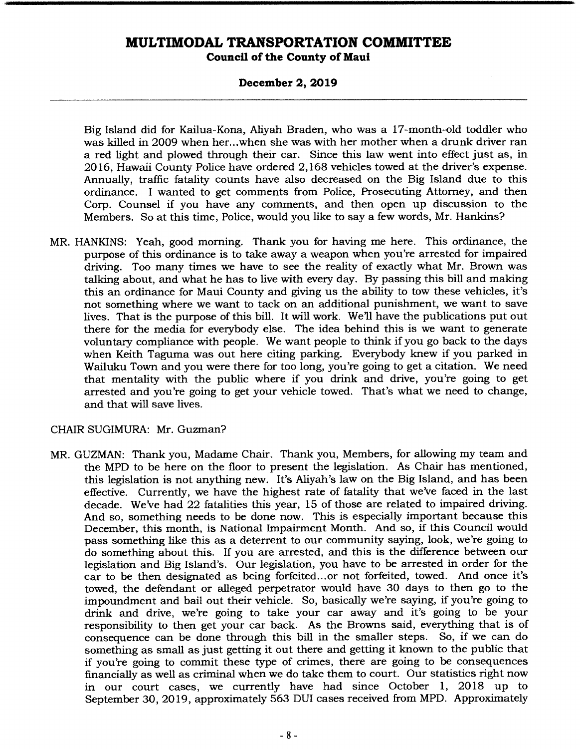### **Council of the County of Maui**

### **December 2, 2019**

Big Island did for Kailua-Kona, Aliyah Braden, who was a 17-month-old toddler who was killed in 2009 when her.. .when she was with her mother when a drunk driver ran a red light and plowed through their car. Since this law went into effect just as, in 2016, Hawaii County Police have ordered 2,168 vehicles towed at the driver's expense. Annually, traffic fatality counts have also decreased on the Big Island due to this ordinance. I wanted to get comments from Police, Prosecuting Attorney, and then Corp. Counsel if you have any comments, and then open up discussion to the Members. So at this time, Police, would you like to say a few words, Mr. Hankins?

MR. HANKINS: Yeah, good morning. Thank you for having me here. This ordinance, the purpose of this ordinance is to take away a weapon when you're arrested for impaired driving. Too many times we have to see the reality of exactly what Mr. Brown was talking about, and what he has to live with every day. By passing this bill and making this an ordinance for Maui County and giving us the ability to tow these vehicles, it's not something where we want to tack on an additional punishment, we want to save lives. That is the purpose of this bill. It will work. We'll have the publications put out there for the media for everybody else. The idea behind this is we want to generate voluntary compliance with people. We want people to think if you go back to the days when Keith Taguma was out here citing parking. Everybody knew if you parked in Wailuku Town and you were there for too long, you're going to get a citation. We need that mentality with the public where if you drink and drive, you're going to get arrested and you're going to get your vehicle towed. That's what we need to change, and that will save lives.

#### CHAIR SUGIMURA: Mr. Guzman?

MR. GUZMAN: Thank you, Madame Chair. Thank you, Members, for allowing my team and the MPD to be here on the floor to present the legislation. As Chair has mentioned, this legislation is not anything new. It's Aliyah's law on the Big Island, and has been effective. Currently, we have the highest rate of fatality that we've faced in the last decade. We've had 22 fatalities this year, 15 of those are related to impaired driving. And so, something needs to be done now. This is especially important because this December, this month, is National Impairment Month. And so, if this Council would pass something like this as a deterrent to our community saying, look, we're going to do something about this. If you are arrested, and this is the difference between our legislation and Big Island's. Our legislation, you have to be arrested in order for the car to be then designated as being forfeited... or not forfeited, towed. And once it's towed, the defendant or alleged perpetrator would have 30 days to then go to the impoundment and bail out their vehicle. So, basically we're saying, if you're going to drink and drive, we're going to take your car away and it's going to be your responsibility to then get your car back. As the Browns said, everything that is of consequence can be done through this bill in the smaller steps. So, if we can do something as small as just getting it out there and getting it known to the public that if you're going to commit these type of crimes, there are going to be consequences financially as well as criminal when we do take them to court. Our statistics right now in our court cases, we currently have had since October 1, 2018 up to September 30, 2019, approximately 563 DUI cases received from MPD. Approximately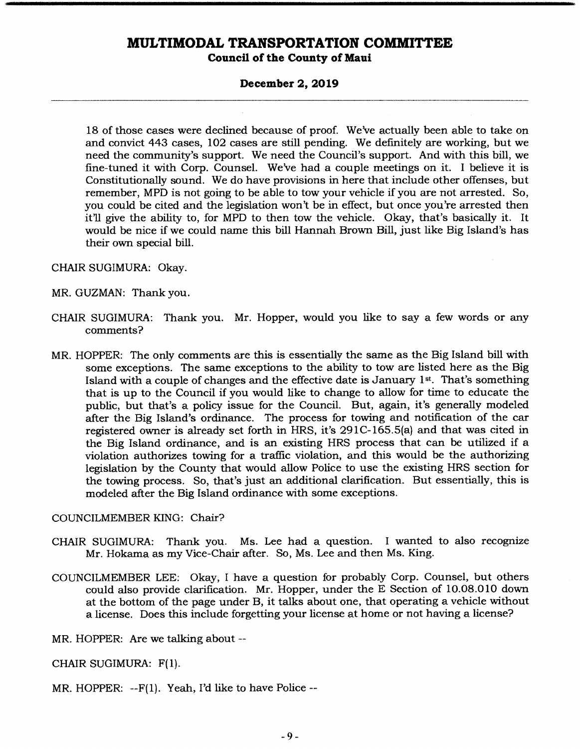#### **December 2, 2019**

18 of those cases were declined because of proof. We've actually been able to take on and convict 443 cases, 102 cases are still pending. We definitely are working, but we need the community's support. We need the Council's support. And with this bill, we fine-tuned it with Corp. Counsel. We've had a couple meetings on it. I believe it is Constitutionally sound. We do have provisions in here that include other offenses, but remember, MPD is not going to be able to tow your vehicle if you are not arrested. So, you could be cited and the legislation won't be in effect, but once you're arrested then it'll give the ability to, for MPD to then tow the vehicle. Okay, that's basically it. It would be nice if we could name this bill Hannah Brown Bill, just like Big Island's has their own special bill.

CHAIR SUGIMURA: Okay.

MR. GUZMAN: Thank you.

- CHAIR SUGIMURA: Thank you. Mr. Hopper, would you like to say a few words or any comments?
- MR. HOPPER: The only comments are this is essentially the same as the Big Island bill with some exceptions. The same exceptions to the ability to tow are listed here as the Big Island with a couple of changes and the effective date is January 1st. That's something that is up to the Council if you would like to change to allow for time to educate the public, but that's a policy issue for the Council. But, again, it's generally modeled after the Big Island's ordinance. The process for towing and notification of the car registered owner is already set forth in HRS, it's 291C-165.5(a) and that was cited in the Big Island ordinance, and is an existing HRS process that can be utilized if a violation authorizes towing for a traffic violation, and this would be the authorizing legislation by the County that would allow Police to use the existing HRS section for the towing process. So, that's just an additional clarification. But essentially, this is modeled after the Big Island ordinance with some exceptions.

COUNCILMEMBER KING: Chair?

- CHAIR SUGIMURA: Thank you. Ms. Lee had a question. I wanted to also recognize Mr. Hokama as my Vice-Chair after. So, Ms. Lee and then Ms. King.
- COUNCILMEMBER LEE: Okay, I have a question for probably Corp. Counsel, but others could also provide clarification. Mr. Hopper, under the E Section of 10.08.0 10 down at the bottom of the page under B, it talks about one, that operating a vehicle without a license. Does this include forgetting your license at home or not having a license?

MR. HOPPER: Are we talking about --

CHAIR SUGIMURA: F(1).

MR. HOPPER: --F(1). Yeah, I'd like to have Police --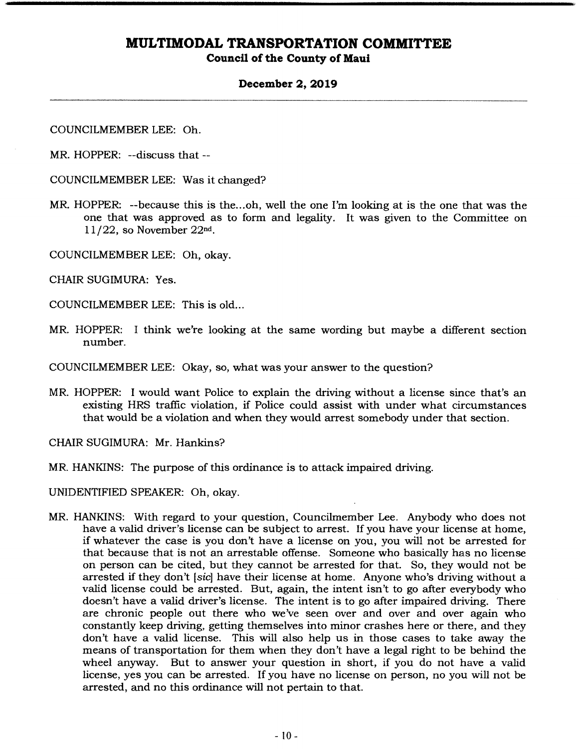### **Council of the County of Maui**

### **December 2, 2019**

COUNCILMEMBER LEE: Oh.

MR. HOPPER: --discuss that --

COUNCILMEMBER LEE: Was it changed?

- MR. HOPPER: --because this is the.. .oh, well the one I'm looking at is the one that was the one that was approved as to form and legality. It was given to the Committee on 11/22, so November 22nd.
- COUNCILMEMBER LEE: Oh, okay.

CHAIR SUGIMURA: Yes.

COUNCILMEMBER LEE: This is old...

MR. HOPPER: I think we're looking at the same wording but maybe a different section number.

COUNCILMEMBER LEE: Okay, so, what was your answer to the question?

MR. HOPPER: I would want Police to explain the driving without a license since that's an existing HRS traffic violation, if Police could assist with under what circumstances that would be a violation and when they would arrest somebody under that section.

CHAIR SUGIMURA: Mr. Hankins?

MR. HANKINS: The purpose of this ordinance is to attack impaired driving.

UNIDENTIFIED SPEAKER: Oh, okay.

MR. HANKINS: With regard to your question, Councilmember Lee. Anybody who does not have a valid driver's license can be subject to arrest. If you have your license at home, if whatever the case is you don't have a license on you, you will not be arrested for that because that is not an arrestable offense. Someone who basically has no license on person can be cited, but they cannot be arrested for that. So, they would not be arrested if they don't *[sic]* have their license at home. Anyone who's driving without a valid license could be arrested. But, again, the intent isn't to go after everybody who doesn't have a valid driver's license. The intent is to go after impaired driving. There are chronic people out there who we've seen over and over and over again who constantly keep driving, getting themselves into minor crashes here or there, and they don't have a valid license. This will also help us in those cases to take away the means of transportation for them when they don't have a legal right to be behind the wheel anyway. But to answer your question in short, if you do not have a valid license, yes you can be arrested. If you have no license on person, no you will not be arrested, and no this ordinance will not pertain to that.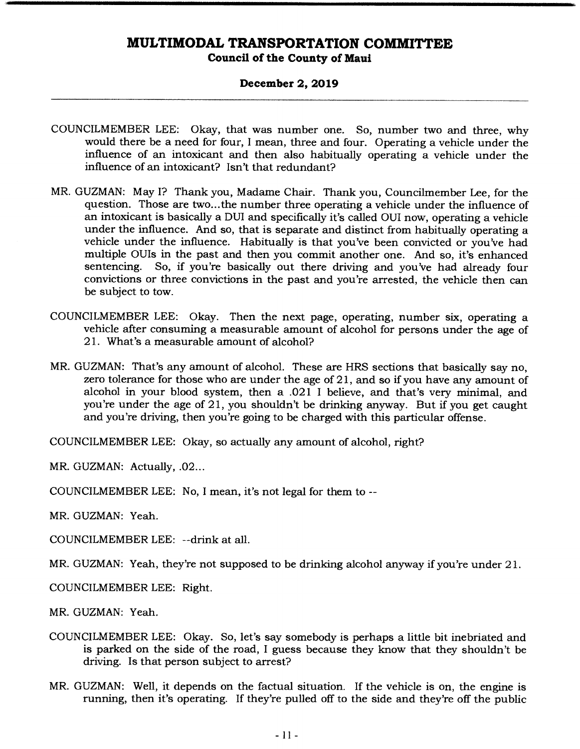#### **December 2, 2019**

- COUNCILMEMBER LEE: Okay, that was number one. So, number two and three, why would there be a need for four, I mean, three and four. Operating a vehicle under the influence of an intoxicant and then also habitually operating a vehicle under the influence of an intoxicant? Isn't that redundant?
- MR. GUZMAN: May I? Thank you, Madame Chair. Thank you, Councilmember Lee, for the question. Those are two... the number three operating a vehicle under the influence of an intoxicant is basically a DUI and specifically it's called OUI now, operating a vehicle under the influence. And so, that is separate and distinct from habitually operating a vehicle under the influence. Habitually is that you've been convicted or you've had multiple OUIs in the past and then you commit another one. And so, it's enhanced sentencing. So, if you're basically out there driving and you've had already four So, if you're basically out there driving and you've had already four convictions or three convictions in the past and you're arrested, the vehicle then can be subject to tow.
- COUNCILMEMBER LEE: Okay. Then the next page, operating, number six, operating a vehicle after consuming a measurable amount of alcohol for persons under the age of 21. What's a measurable amount of alcohol?
- MR. GUZMAN: That's any amount of alcohol. These are HRS sections that basically say no, zero tolerance for those who are under the age of 21, and so if you have any amount of alcohol in your blood system, then a .021 I believe, and that's very minimal, and you're under the age of 21, you shouldn't be drinking anyway. But if you get caught and you're driving, then you're going to be charged with this particular offense.

COUNCILMEMBER LEE: Okay, so actually any amount of alcohol, right?

MR. GUZMAN: Actually, .02...

COUNCILMEMBER LEE: No, I mean, it's not legal for them to --

MR. GUZMAN: Yeah.

COUNCILMEMBER LEE: --drink at all.

MR. GUZMAN: Yeah, they're not supposed to be drinking alcohol anyway if you're under 21.

COUNCILMEMBER LEE: Right.

MR. GUZMAN: Yeah.

- COUNCILMEMBER LEE: Okay. So, let's say somebody is perhaps a little bit inebriated and is parked on the side of the road, I guess because they know that they shouldn't be driving. Is that person subject to arrest?
- MR. GUZMAN: Well, it depends on the factual situation. If the vehicle is on, the engine is running, then it's operating. If they're pulled off to the side and they're off the public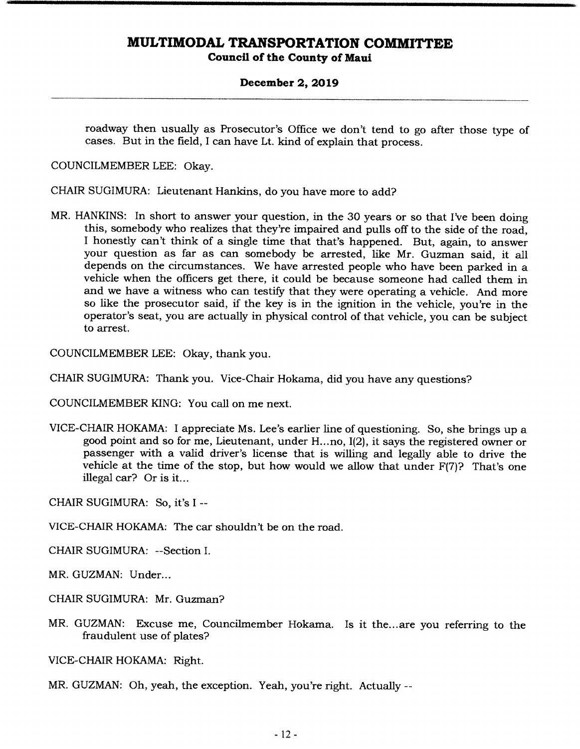**Council of the County of Maui** 

#### **December 2, 2019**

roadway then usually as Prosecutor's Office we don't tend to go after those type of cases. But in the field, I can have Lt. kind of explain that process.

COUNCILMEMBER LEE: Okay.

CHAIR SUGIMURA: Lieutenant Hankins, do you have more to add?

MR. HANKINS: In short to answer your question, in the 30 years or so that I've been doing this, somebody who realizes that they're impaired and pulls off to the side of the road, I honestly can't think of a single time that that's happened. But, again, to answer your question as far as can somebody be arrested, like Mr. Guzman said, it all depends on the circumstances. We have arrested people who have been parked in a vehicle when the officers get there, it could be because someone had called them in and we have a witness who can testify that they were operating a vehicle. And more so like the prosecutor said, if the key is in the ignition in the vehicle, you're in the operator's seat, you are actually in physical control of that vehicle, you can be subject to arrest.

COUNCILMEMBER LEE: Okay, thank you.

CHAIR SUGIMURA: Thank you. Vice-Chair Hokama, did you have any questions?

COUNCILMEMBER KING: You call on me next.

VICE-CHAIR HOKAMA: I appreciate Ms. Lee's earlier line of questioning. So, she brings up a good point and so for me, Lieutenant, under H...no, I(2), it says the registered owner or passenger with a valid driver's license that is willing and legally able to drive the vehicle at the time of the stop, but how would we allow that under F(7)? That's one illegal car? Or is it...

CHAIR SUGIMURA: So, it's I --

VICE-CHAIR HOKAMA: The car shouldn't be on the road.

CHAIR SUGIMURA: --Section I.

MR. GUZMAN: Under...

- CHAIR SUGIMURA: Mr. Guzman?
- MR. GUZMAN: Excuse me, Councilmember Hokama. Is it the... are you referring to the fraudulent use of plates?

VICE-CHAIR HOKAMA: Right.

MR. GUZMAN: Oh, yeah, the exception. Yeah, you're right. Actually --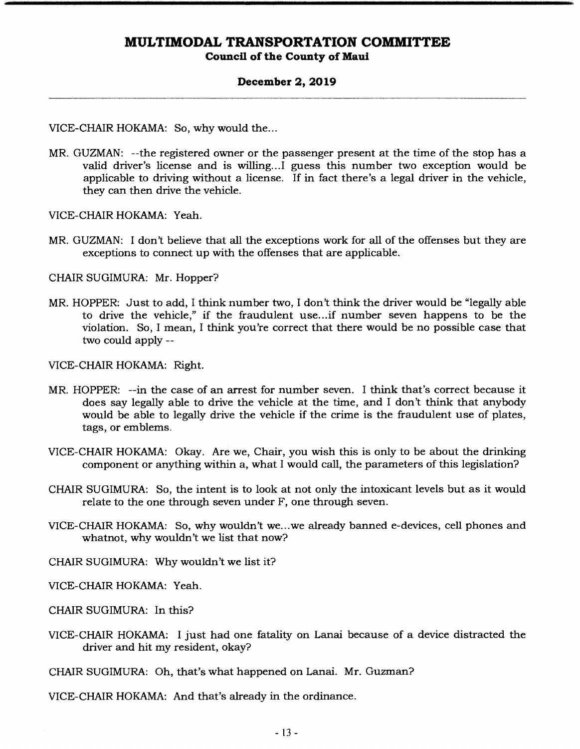#### **December 2, 2019**

VICE-CHAIR HOKAMA: So, why would the...

MR. GUZMAN: --the registered owner or the passenger present at the time of the stop has a valid driver's license and is willing.. .1 guess this number two exception would be applicable to driving without a license. If in fact there's a legal driver in the vehicle, they can then drive the vehicle.

VICE-CHAIR HOKAMA: Yeah.

MR. GUZMAN: I don't believe that all the exceptions work for all of the offenses but they are exceptions to connect up with the offenses that are applicable.

CHAIR SUGIMURA: Mr. Hopper?

MR. HOPPER: Just to add, I think number two, I don't think the driver would be "legally able to drive the vehicle," if the fraudulent use... if number seven happens to be the violation. So, I mean, I think you're correct that there would be no possible case that two could apply --

VICE-CHAIR HOKAMA: Right.

- MR. HOPPER: --in the case of an arrest for number seven. I think that's correct because it does say legally able to drive the vehicle at the time, and I don't think that anybody would be able to legally drive the vehicle if the crime is the fraudulent use of plates, tags, or emblems.
- VICE-CHAIR HOKAMA: Okay. Are we, Chair, you wish this is only to be about the drinking component or anything within a, what I would call, the parameters of this legislation?
- CHAIR SUGIMURA: So, the intent is to look at not only the intoxicant levels but as it would relate to the one through seven under F, one through seven.
- VICE-CHAIR HOKAMA: So, why wouldn't we.. .we already banned c-devices, cell phones and whatnot, why wouldn't we list that now?

CHAIR SUGIMURA: Why wouldn't we list it?

VICE-CHAIR HOKAMA: Yeah.

CHAIR SUGIMURA: In this?

VICE-CHAIR HOKAMA: I just had one fatality on Lanai because of a device distracted the driver and hit my resident, okay?

CHAIR SUGIMURA: Oh, that's what happened on Lanai. Mr. Guzman?

VICE-CHAIR HOKAMA: And that's already in the ordinance.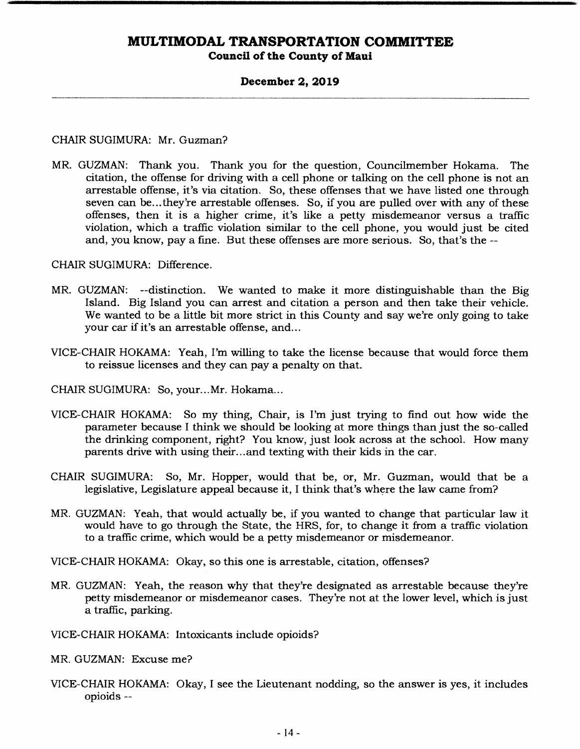### **December 2, 2019**

#### CHAIR SUGIMURA: Mr. Guzman?

MR. GUZMAN: Thank you. Thank you for the question, Councilmember Hokama. The citation, the offense for driving with a cell phone or talking on the cell phone is not an arrestable offense, it's via citation. So, these offenses that we have listed one through seven can be... they're arrestable offenses. So, if you are pulled over with any of these offenses, then it is a higher crime, it's like a petty misdemeanor versus a traffic violation, which a traffic violation similar to the cell phone, you would just be cited and, you know, pay a fine. But these offenses are more serious. So, that's the --

CHAIR SUGIMURA: Difference.

- MR. GUZMAN: --distinction. We wanted to make it more distinguishable than the Big Island. Big Island you can arrest and citation a person and then take their vehicle. We wanted to be a little bit more strict in this County and say we're only going to take your car if it's an arrestable offense, and...
- VICE-CHAIR HOKAMA: Yeah, I'm willing to take the license because that would force them to reissue licenses and they can pay a penalty on that.

CHAIR SUGIMURA: So, your... Mr. Hokama...

- VICE-CHAIR HOKAMA: So my thing, Chair, is I'm just trying to find out how wide the parameter because I think we should be looking at more things than just the so-called the drinking component, right? You know, just look across at the school. How many parents drive with using their... and texting with their kids in the car.
- CHAIR SUGIMURA: So, Mr. Hopper, would that be, or, Mr. Guzman, would that be a legislative, Legislature appeal because it, I think that's where the law came from?
- MR. GUZMAN: Yeah, that would actually be, if you wanted to change that particular law it would have to go through the State, the FIRS, for, to change it from a traffic violation to a traffic crime, which would be a petty misdemeanor or misdemeanor.

VICE-CHAIR HOKAMA: Okay, so this one is arrestable, citation, offenses?

MR. GUZMAN: Yeah, the reason why that they're designated as arrestable because they're petty misdemeanor or misdemeanor cases. They're not at the lower level, which is just a traffic, parking.

VICE-CHAIR HOKAMA: Intoxicants include opioids?

MR. GUZMAN: Excuse me?

VICE-CHAIR HOKAMA: Okay, I see the Lieutenant nodding, so the answer is yes, it includes opioids --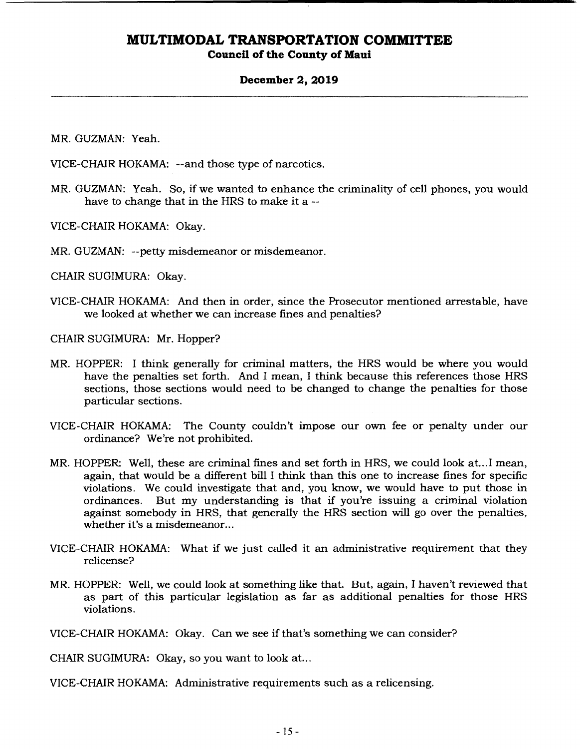### **Council of the County of Maui**

#### **December 2, 2019**

MR. GUZMAN: Yeah.

VICE-CHAIR HOKAMA: --and those type of narcotics.

MR. GUZMAN: Yeah. So, if we wanted to enhance the criminality of cell phones, you would have to change that in the HRS to make it a --

VICE-CHAIR HOKAMA: Okay.

MR. GUZMAN: --petty misdemeanor or misdemeanor.

CHAIR SUGIMURA: Okay.

VICE-CHAIR HOKAMA: And then in order, since the Prosecutor mentioned arrestable, have we looked at whether we can increase fines and penalties?

CHAIR SUGIMURA: Mr. Hopper?

- MR. HOPPER: I think generally for criminal matters, the HRS would be where you would have the penalties set forth. And I mean, I think because this references those HRS sections, those sections would need to be changed to change the penalties for those particular sections.
- VICE-CHAIR HOKAMA: The County couldn't impose our own fee or penalty under our ordinance? We're not prohibited.
- MR. HOPPER: Well, these are criminal fines and set forth in HRS, we could look at... I mean, again, that would be a different bill I think than this one to increase fines for specific violations. We could investigate that and, you know, we would have to put those in But my understanding is that if you're issuing a criminal violation against somebody in HRS, that generally the HRS section will go over the penalties, whether it's a misdemeanor...
- VICE-CHAIR HOKAMA: What if we just called it an administrative requirement that they relicense?
- MR. HOPPER: Well, we could look at something like that. But, again, I haven't reviewed that as part of this particular legislation as far as additional penalties for those HRS violations.

VICE-CHAIR HOKAMA: Okay. Can we see if that's something we can consider?

CHAIR SUGIMURA: Okay, so you want to look at...

VICE-CHAIR HOKAMA: Administrative requirements such as a relicensing.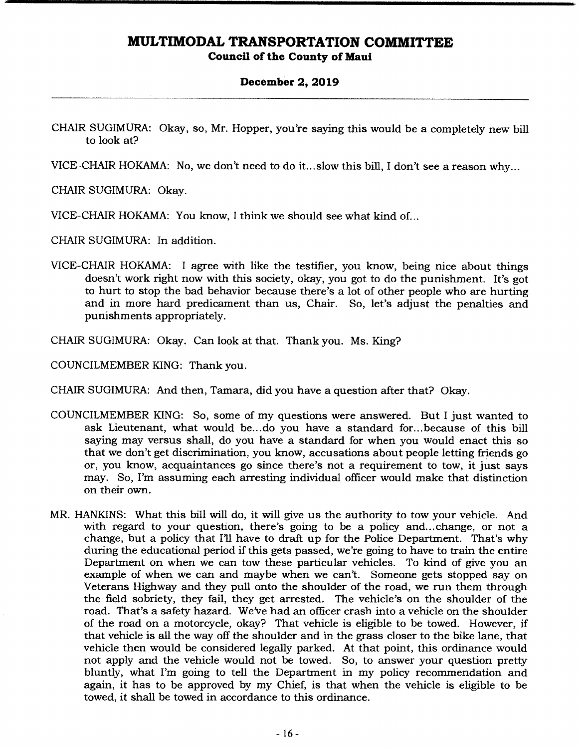#### **December 2, 2019**

- CHAIR SUGIMURA: Okay, so, Mr. Hopper, you're saying this would be a completely new bill to look at?
- VICE-CHAIR HOKAMA: No, we don't need to do it... slow this bill, I don't see a reason why...
- CHAIR SUGIMURA: Okay.
- VICE-CHAIR HOKAMA: You know, I think we should see what kind of...
- CHAIR SUGIMURA: In addition.
- VICE-CHAIR HOKAMA: I agree with like the testifier, you know, being nice about things doesn't work right now with this society, okay, you got to do the punishment. It's got to hurt to stop the bad behavior because there's a lot of other people who are hurting and in more hard predicament than us, Chair. So, let's adjust the penalties and punishments appropriately.
- CHAIR SUGIMURA: Okay. Can look at that. Thank you. Ms. King?

COUNCILMEMBER KING: Thank you.

CHAIR SUGIMURA: And then, Tamara, did you have a question after that? Okay.

- COUNCILMEMBER KING: So, some of my questions were answered. But I just wanted to ask Lieutenant, what would be... do you have a standard for... because of this bill saying may versus shall, do you have a standard for when you would enact this so that we don't get discrimination, you know, accusations about people letting friends go or, you know, acquaintances go since there's not a requirement to tow, it just says may. So, I'm assuming each arresting individual officer would make that distinction on their own.
- MR. HANKINS: What this bill will do, it will give us the authority to tow your vehicle. And with regard to your question, there's going to be a policy and... change, or not a change, but a policy that I'll have to draft up for the Police Department. That's why during the educational period if this gets passed, we're going to have to train the entire Department on when we can tow these particular vehicles. To kind of give you an example of when we can and maybe when we can't. Someone gets stopped say on Veterans Highway and they pull onto the shoulder of the road, we run them through the field sobriety, they fail, they get arrested. The vehicle's on the shoulder of the road. That's a safety hazard. We've had an officer crash into a vehicle on the shoulder of the road on a motorcycle, okay? That vehicle is eligible to be towed. However, if that vehicle is all the way off the shoulder and in the grass closer to the bike lane, that vehicle then would be considered legally parked. At that point, this ordinance would not apply and the vehicle would not be towed. So, to answer your question pretty bluntly, what I'm going to tell the Department in my policy recommendation and again, it has to be approved by my Chief, is that when the vehicle is eligible to be towed, it shall be towed in accordance to this ordinance.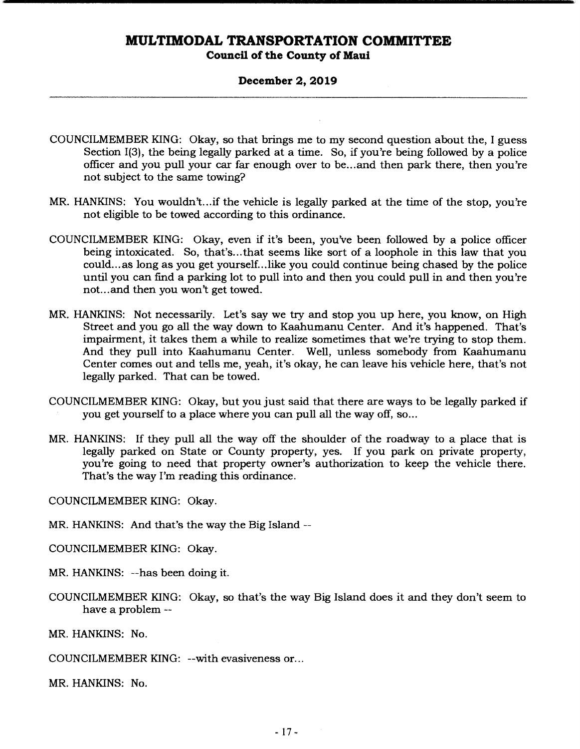### **Council of the County of Maui**

#### **December 2, 2019**

- COUNCILMEMBER KING: Okay, so that brings me to my second question about the, I guess Section I(3), the being legally parked at a time. So, if you're being followed by a police officer and you pull your car far enough over to be... and then park there, then you're not subject to the same towing?
- MR. HANKINS: You wouldn't.. if the vehicle is legally parked at the time of the stop, you're not eligible to be towed according to this ordinance.
- COUNCILMEMBER KING: Okay, even if it's been, you've been followed by a police officer being intoxicated. So, that's... that seems like sort of a loophole in this law that you could... as long as you get yourself... like you could continue being chased by the police until you can find a parking lot to pull into and then you could pull in and then you're not.., and then you won't get towed.
- MR. HANKINS: Not necessarily. Let's say we try and stop you up here, you know, on High Street and you go all the way down to Kaahumanu Center. And it's happened. That's impairment, it takes them a while to realize sometimes that we're trying to stop them. And they pull into Kaahumanu Center. Well, unless somebody from Kaahumanu Center comes out and tells me, yeah, it's okay, he can leave his vehicle here, that's not legally parked. That can be towed.
- COUNCILMEMBER KING: Okay, but you just said that there are ways to be legally parked if you get yourself to a place where you can pull all the way off, so...
- MR. HANKINS: If they pull all the way off the shoulder of the roadway to a place that is legally parked on State or County property, yes. If you park on private property, you're going to need that property owner's authorization to keep the vehicle there. That's the way I'm reading this ordinance.

COUNCILMEMBER KING: Okay.

MR. HANKINS: And that's the way the Big Island --

COUNCILMEMBER KING: Okay.

MR. HANKINS: --has been doing it.

COUNCILMEMBER KING: Okay, so that's the way Big Island does it and they don't seem to have a problem --

MR. HANKINS: No.

COUNCILMEMBER KING: --with evasiveness or...

MR. HANKINS: No.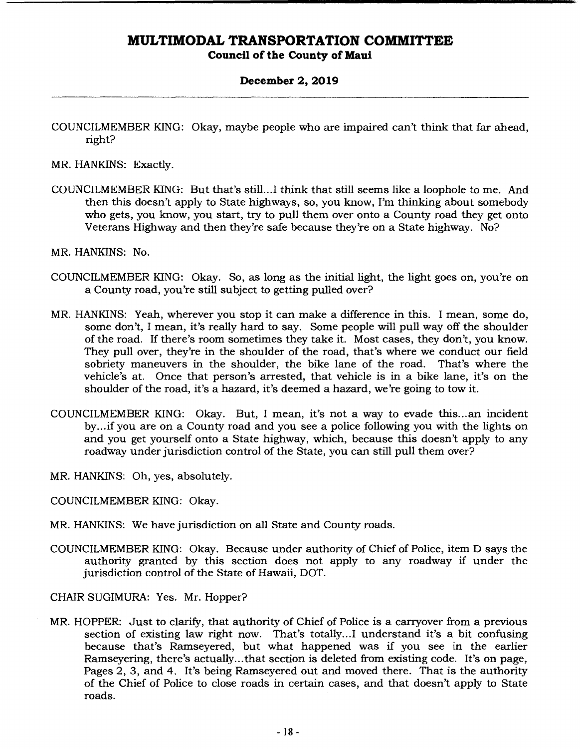**Council of the County of Maui** 

### **December 2, 2019**

COUNCILMEMBER KING: Okay, maybe people who are impaired can't think that far ahead, right?

MR. HANKINS: Exactly.

COUNCILMEMBER KING: But that's still.. .1 think that still seems like a loophole to me. And then this doesn't apply to State highways, so, you know, I'm thinking about somebody who gets, you know, you start, try to pull them over onto a County road they get onto Veterans Highway and then they're safe because they're on a State highway. No?

MR. HANKINS: No.

- COUNCILMEMBER KING: Okay. So, as long as the initial light, the light goes on, you're on a County road, you're still subject to getting pulled over?
- MR. HANKINS: Yeah, wherever you stop it can make a difference in this. I mean, some do, some don't, I mean, it's really hard to say. Some people will pull way off the shoulder of the road. If there's room sometimes they take it. Most cases, they don't, you know. They pull over, they're in the shoulder of the road, that's where we conduct our field sobriety maneuvers in the shoulder, the bike lane of the road. That's where the vehicle's at. Once that person's arrested, that vehicle is in a bike lane, it's on the shoulder of the road, it's a hazard, it's deemed a hazard, we're going to tow it.
- COUNCILMEMBER KING: Okay. But, I mean, it's not a way to evade this... an incident by... if you are on a County road and you see a police following you with the lights on and you get yourself onto a State highway, which, because this doesn't apply to any roadway under jurisdiction control of the State, you can still pull them over?
- MR. HANKINS: Oh, yes, absolutely.
- COUNCILMEMBER KING: Okay.
- MR. HANKINS: We have jurisdiction on all State and County roads.
- COUNCILMEMBER KING: Okay. Because under authority of Chief of Police, item D says the authority granted by this section does not apply to any roadway if under the jurisdiction control of the State of Hawaii, DOT.

CHAIR SUGIMURA: Yes. Mr. Hopper?

MR. HOPPER: Just to clarify, that authority of Chief of Police is a carryover from a previous section of existing law right now. That's totally.. .1 understand it's a bit confusing because that's Ramseyered, but what happened was if you see in the earlier Ramseyering, there's actually.., that section is deleted from existing code. It's on page, Pages 2, 3, and 4. It's being Ramseyered out and moved there. That is the authority of the Chief of Police to close roads in certain cases, and that doesn't apply to State roads.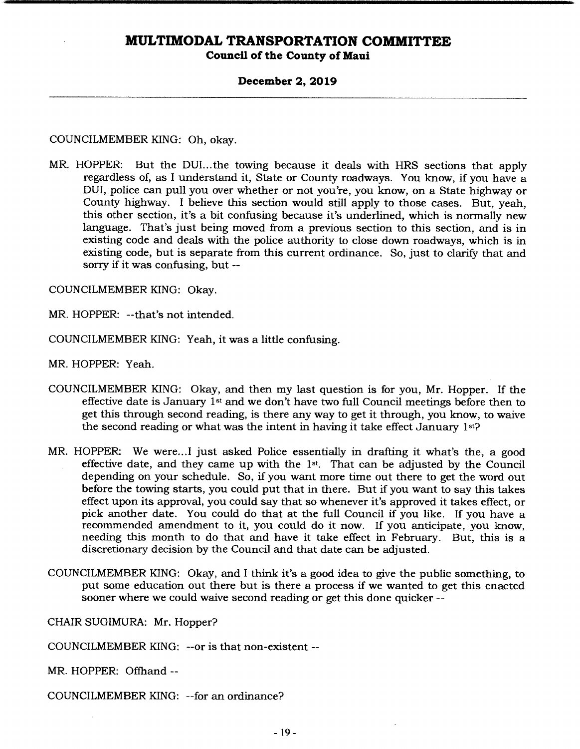**Council of the County of Maui** 

#### **December 2, 2019**

COUNCILMEMBER KING: Oh, okay.

MR. HOPPER: But the DUI...the towing because it deals with HRS sections that apply regardless of, as I understand it, State or County roadways. You know, if you have a DUI, police can pull you over whether or not you're, you know, on a State highway or County highway. I believe this section would still apply to those cases. But, yeah, this other section, it's a bit confusing because it's underlined, which is normally new language. That's just being moved from a previous section to this section, and is in existing code and deals with the police authority to close down roadways, which is in existing code, but is separate from this current ordinance. So, just to clarify that and sorry if it was confusing, but --

COUNCILMEMBER KING: Okay.

MR. HOPPER: --that's not intended.

COUNCILMEMBER KING: Yeah, it was a little confusing.

MR. HOPPER: Yeah.

- COUNCILMEMBER KING: Okay, and then my last question is for you, Mr. Hopper. If the effective date is January 1st and we don't have two full Council meetings before then to get this through second reading, is there any way to get it through, you know, to waive the second reading or what was the intent in having it take effect January 1st?
- MR. HOPPER: We were... I just asked Police essentially in drafting it what's the, a good effective date, and they came up with the  $1st$ . That can be adjusted by the Council depending on your schedule. So, if you want more time out there to get the word out before the towing starts, you could put that in there. But if you want to say this takes effect upon its approval, you could say that so whenever it's approved it takes effect, or pick another date. You could do that at the full Council if you like. If you have a recommended amendment to it, you could do it now. If you anticipate, you know, needing this month to do that and have it take effect in February. But, this is a discretionary decision by the Council and that date can be adjusted.
- COUNCILMEMBER KING: Okay, and I think it's a good idea to give the public something, to put some education out there but is there a process if we wanted to get this enacted sooner where we could waive second reading or get this done quicker --

CHAIR SUGIMURA: Mr. Hopper?

COUNCILMEMBER KING: --or is that non-existent --

MR. HOPPER: Offhand --

COUNCILMEMBER KING: --for an ordinance?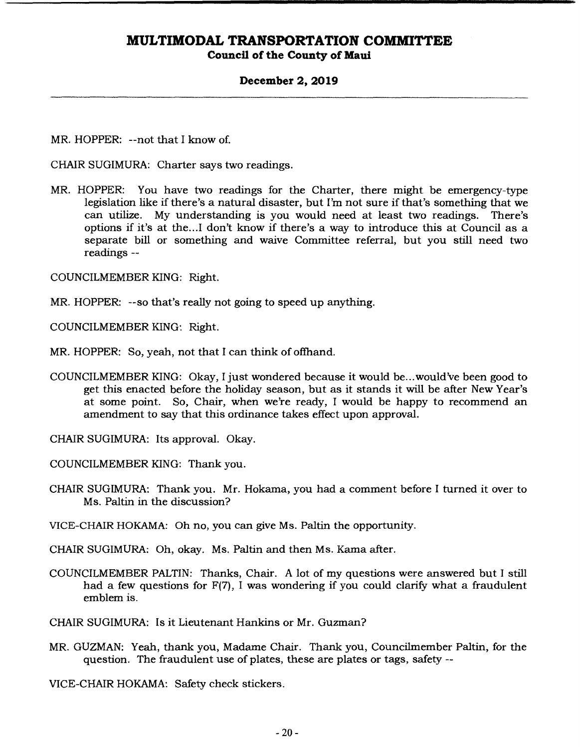### **Council of the County of Maui**

#### **December 2, 2019**

MR. HOPPER: --not that I know of.

CHAIR SUGIMURA: Charter says two readings.

MR. HOPPER: You have two readings for the Charter, there might be emergency-type legislation like if there's a natural disaster, but I'm not sure if that's something that we can utilize. My understanding is you would need at least two readings. There's options if it's at the.. .1 don't know if there's a way to introduce this at Council as a separate bill or something and waive Committee referral, but you still need two readings --

COUNCILMEMBER KING: Right.

MR. HOPPER: --so that's really not going to speed up anything.

COUNCILMEMBER KING: Right.

MR. HOPPER: So, yeah, not that I can think of offhand.

COUNCILMEMBER KING: Okay, I just wondered because it would be.. .would've been good to get this enacted before the holiday season, but as it stands it will be alter New Year's at some point. So, Chair, when we're ready, I would be happy to recommend an amendment to say that this ordinance takes effect upon approval.

CHAIR SUGIMURA: Its approval. Okay.

COUNCILMEMBER KING: Thank you.

CHAIR SUGIMURA: Thank you. Mr. Hokama, you had a comment before I turned it over to Ms. Paltin in the discussion?

VICE-CHAIR HOKAMA: Oh no, you can give Ms. Paltin the opportunity.

CHAIR SUGIMURA: Oh, okay. Ms. Paltin and then Ms. Kama after.

COUNCILMEMBER PALTIN: Thanks, Chair. A lot of my questions were answered but I still had a few questions for  $F(7)$ , I was wondering if you could clarify what a fraudulent emblem is.

CHAIR SUGIMURA: Is it Lieutenant Hankins or Mr. Guzman?

MR. GUZMAN: Yeah, thank you, Madame Chair. Thank you, Councilmember Paltin, for the question. The fraudulent use of plates, these are plates or tags, safety --

VICE-CHAIR HOKAMA: Safety check stickers.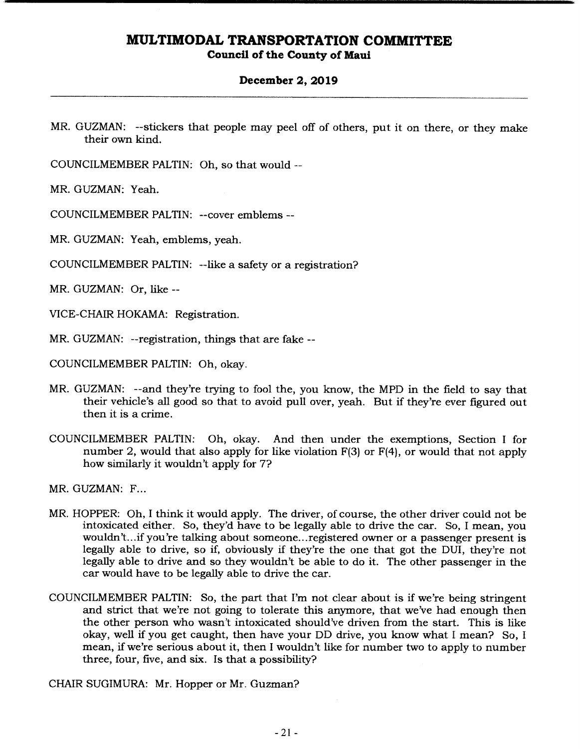**Council of the County of Maui** 

#### **December 2, 2019**

MR. GUZMAN: --stickers that people may peel off of others, put it on there, or they make their own kind.

COUNCILMEMBER PALTIN: Oh, so that would --

MR. GUZMAN: Yeah.

COUNCILMEMBER PALTIN: --cover emblems --

MR. GUZMAN: Yeah, emblems, yeah.

COUNCILMEMBER PALTIN: --like a safety or a registration?

MR. GUZMAN: Or, like --

VICE-CHAIR HOKAMA: Registration.

MR. GUZMAN: --registration, things that are fake --

COUNCILMEMBER PALTIN: Oh, okay.

- MR. GUZMAN: --and they're trying to fool the, you know, the MPD in the field to say that their vehicle's all good so that to avoid pull over, yeah. But if they're ever figured out then it is a crime.
- COUNCILMEMBER PALTIN: Oh, okay. And then under the exemptions, Section I for number 2, would that also apply for like violation F(3) or F(4), or would that not apply how similarly it wouldn't apply for 7?

MR. GUZMAN: F...

- MR. HOPPER: Oh, I think it would apply. The driver, of course, the other driver could not be intoxicated either. So, they'd have to be legally able to drive the car. So, I mean, you wouldn't... if you're talking about someone... registered owner or a passenger present is legally able to drive, so if, obviously if they're the one that got the DUI, they're not legally able to drive and so they wouldn't be able to do it. The other passenger in the car would have to be legally able to drive the car.
- COUNCILMEMBER PALTIN: So, the part that I'm not clear about is if we're being stringent and strict that we're not going to tolerate this anymore, that we've had enough then the other person who wasn't intoxicated should've driven from the start. This is like okay, well if you get caught, then have your DD drive, you know what I mean? So, I mean, if we're serious about it, then I wouldn't like for number two to apply to number three, four, five, and six. Is that a possibility?

CHAIR SUGIMURA: Mr. Hopper or Mr. Guzman?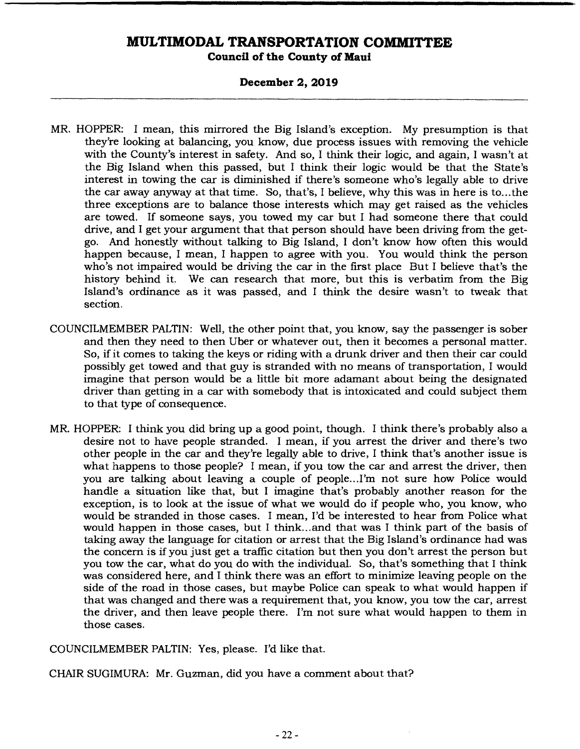### **Council of the County of Maui**

### **December 2, 2019**

- MR. HOPPER: I mean, this mirrored the Big Island's exception. My presumption is that they're looking at balancing, you know, due process issues with removing the vehicle with the County's interest in safety. And so, I think their logic, and again, I wasn't at the Big Island when this passed, but I think their logic would be that the State's interest in towing the car is diminished if there's someone who's legally able to drive the car away anyway at that time. So, that's, I believe, why this was in here is to...the three exceptions are to balance those interests which may get raised as the vehicles are towed. If someone says, you towed my car but I had someone there that could drive, and I get your argument that that person should have been driving from the getgo. And honestly without talking to Big Island, I don't know how often this would happen because, I mean, I happen to agree with you. You would think the person who's not impaired would be driving the car in the first place But I believe that's the history behind it. We can research that more, but this is verbatim from the Big Island's ordinance as it was passed, and I think the desire wasn't to tweak that section.
- COUNCILMEMBER PALTIN: Well, the other point that, you know, say the passenger is sober and then they need to then Uber or whatever out, then it becomes a personal matter. So, if it comes to taking the keys or riding with a drunk driver and then their car could possibly get towed and that guy is stranded with no means of transportation, I would imagine that person would be a little bit more adamant about being the designated driver than getting in a car with somebody that is intoxicated and could subject them to that type of consequence.
- MR. HOPPER: I think you did bring up a good point, though. I think there's probably also a desire not to have people stranded. I mean, if you arrest the driver and there's two other people in the car and they're legally able to drive, I think that's another issue is what happens to those people? I mean, if you tow the car and arrest the driver, then you are talking about leaving a couple of people.. .I'm not sure how Police would handle a situation like that, but I imagine that's probably another reason for the exception, is to look at the issue of what we would do if people who, you know, who would be stranded in those cases. I mean, I'd be interested to hear from Police what would happen in those cases, but I think.., and that was I think part of the basis of taking away the language for citation or arrest that the Big Island's ordinance had was the concern is if you just get a traffic citation but then you don't arrest the person but you tow the car, what do you do with the individual. So, that's something that I think was considered here, and I think there was an effort to minimize leaving people on the side of the road in those cases, but maybe Police can speak to what would happen if that was changed and there was a requirement that, you know, you tow the car, arrest the driver, and then leave people there. I'm not sure what would happen to them in those cases.

COUNCILMEMBER PALTIN: Yes, please. I'd like that.

CHAIR SUGIMURA: Mr. Guzman, did you have a comment about that?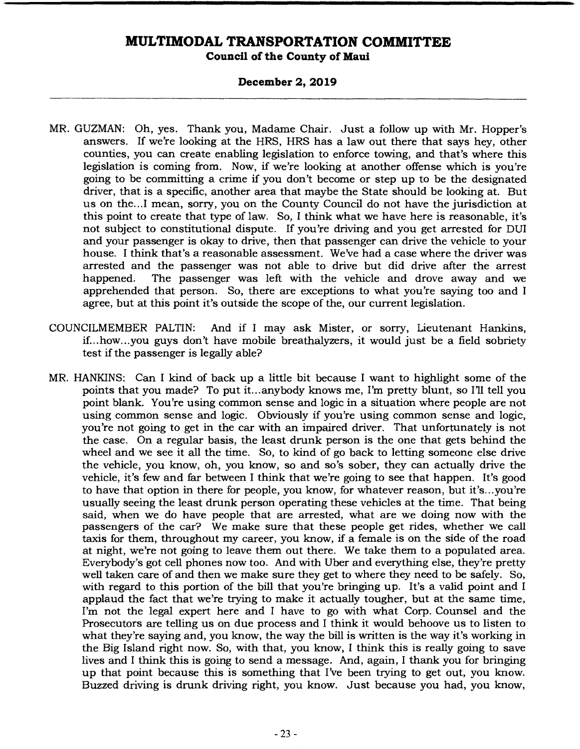**Council of the County of Maul** 

### **December 2, 2019**

- MR. GUZMAN: Oh, yes. Thank you, Madame Chair. Just a follow up with Mr. Hopper's answers. If we're looking at the HRS, HRS has a law out there that says hey, other counties, you can create enabling legislation to enforce towing, and that's where this legislation is coming from. Now, if we're looking at another offense which is you're going to be committing a crime if you don't become or step up to be the designated driver, that is a specific, another area that maybe the State should be looking at. But us on the... I mean, sorry, you on the County Council do not have the jurisdiction at this point to create that type of law. So, I think what we have here is reasonable, it's not subject to constitutional dispute. If you're driving and you get arrested for DUI and your passenger is okay to drive, then that passenger can drive the vehicle to your house. I think that's a reasonable assessment. We've had a case where the driver was arrested and the passenger was not able to drive but did drive after the arrest happened. The passenger was left with the vehicle and drove away and we apprehended that person. So, there are exceptions to what you're saying too and I agree, but at this point it's outside the scope of the, our current legislation.
- COUNCILMEMBER PALTIN: And if I may ask Mister, or sorry, Lieutenant Hankins, if... how.. .you guys don't have mobile breathalyzers, it would just be a field sobriety test if the passenger is legally able?
- MR. HANKINS: Can I kind of back up a little bit because I want to highlight some of the points that you made? To put it... anybody knows me, I'm pretty blunt, so I'll tell you point blank. You're using common sense and logic in a situation where people are not using common sense and logic. Obviously if you're using common sense and logic, you're not going to get in the car with an impaired driver. That unfortunately is not the case. On a regular basis, the least drunk person is the one that gets behind the wheel and we see it all the time. So, to kind of go back to letting someone else drive the vehicle, you know, oh, you know, so and so's sober, they can actually drive the vehicle, it's few and far between I think that we're going to see that happen. It's good to have that option in there for people, you know, for whatever reason, but it's.. .you're usually seeing the least drunk person operating these vehicles at the time. That being said, when we do have people that are arrested, what are we doing now with the passengers of the car? We make sure that these people get rides, whether we call taxis for them, throughout my career, you know, if a female is on the side of the road at night, we're not going to leave them out there. We take them to a populated area. Everybody's got cell phones now too. And with Uber and everything else, they're pretty well taken care of and then we make sure they get to where they need to be safely. So, with regard to this portion of the bill that you're bringing up. It's a valid point and I applaud the fact that we're trying to make it actually tougher, but at the same time, I'm not the legal expert here and I have to go with what Corp. Counsel and the Prosecutors are telling us on due process and I think it would behoove us to listen to what they're saying and, you know, the way the bill is written is the way it's working in the Big Island right now. So, with that, you know, I think this is really going to save lives and I think this is going to send a message. And, again, I thank you for bringing up that point because this is something that I've been trying to get out, you know. Buzzed driving is drunk driving right, you know. Just because you had, you know,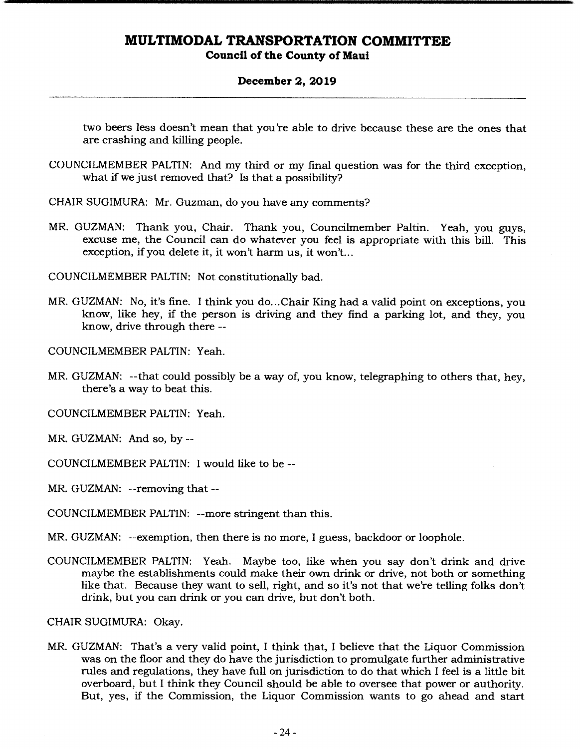### **Council of the County of Maui**

### **December 2, 2019**

two beers less doesn't mean that you're able to drive because these are the ones that are crashing and killing people.

- COUNCILMEMBER PALTIN: And my third or my final question was for the third exception, what if we just removed that? Is that a possibility?
- CHAIR SUGIMURA: Mr. Guzman, do you have any comments?
- MR. GUZMAN: Thank you, Chair. Thank you, Councilmember Paltin. *Yeah,* you guys, excuse me, the Council can do whatever you feel is appropriate with this bill. This exception, if you delete it, it won't harm us, it won't...

COUNCILMEMBER PALTIN: Not constitutionally bad.

MR. GUZMAN: No, it's fine. I think you do... Chair King had a valid point on exceptions, you know, like hey, if the person is driving and they find a parking lot, and they, you know, drive through there --

COUNCILMEMBER PALTIN: Yeah.

MR. GUZMAN: --that could possibly be a way of, you know, telegraphing to others that, hey, there's a way to beat this.

COUNCILMEMBER PALTIN: Yeah.

MR. GUZMAN: And so, by --

COUNCILMEMBER PALTIN: I would like to be --

MR. GUZMAN: --removing that --

COUNCILMEMBER PALTIN: --more stringent than this.

MR. GUZMAN: --exemption, then there is no more, I guess, backdoor or loophole.

COUNCILMEMBER PALTIN: Yeah. Maybe too, like when you say don't drink and drive maybe the establishments could make their own drink or drive, not both or something like that. Because they want to sell, right, and so it's not that we're telling folks don't drink, but you can drink or you can drive, but don't both.

CHAIR SUGIMURA: Okay.

MR. GUZMAN: That's a very valid point, I think that, I believe that the Liquor Commission was on the floor and they do have the jurisdiction to promulgate further administrative rules and regulations, they have full on jurisdiction to do that which I feel is a little bit overboard, but I think they Council should be able to oversee that power or authority. But, yes, if the Commission, the Liquor Commission wants to go ahead and start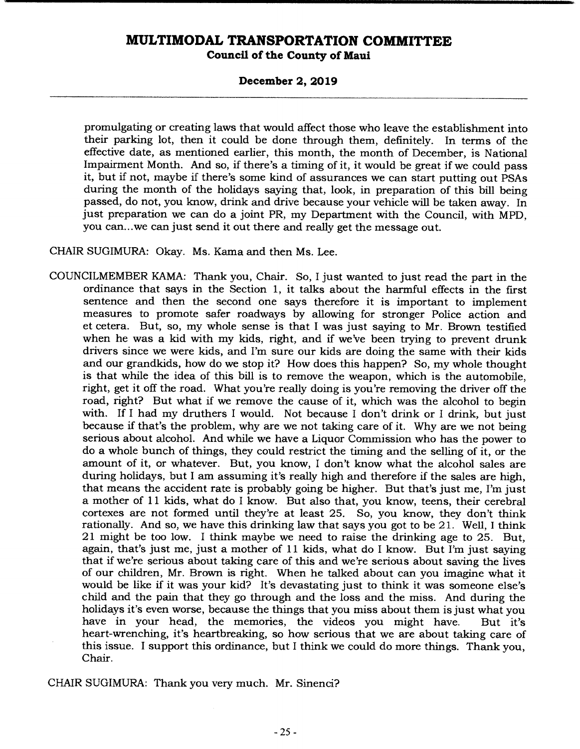#### **Council of the County of Maui**

#### **December 2, 2019**

promulgating or creating laws that would affect those who leave the establishment into their parking lot, then it could be done through them, definitely. In terms of the effective date, as mentioned earlier, this month, the month of December, is National Impairment Month. And so, if there's a timing of it, it would be great if we could pass it, but if not, maybe if there's some kind of assurances we can start putting out PSAs during the month of the holidays saying that, look, in preparation of this bill being passed, do not, you know, drink and drive because your vehicle will be taken away. In just preparation we can do a joint PR, my Department with the Council, with MPD, you can.. .we can just send it out there and really get the message out.

CHAIR SUGIMURA: Okay. Ms. Kama and then Ms. Lee.

COUNCILMEMBER KAMA: Thank you, Chair. So, I just wanted to just read the part in the ordinance that says in the Section 1, it talks about the harmful effects in the first sentence and then the second one says therefore it is important to implement measures to promote safer roadways by allowing for stronger Police action and et cetera. But, so, my whole sense is that I was just saying to Mr. Brown testified when he was a kid with my kids, right, and if we've been trying to prevent drunk drivers since we were kids, and I'm sure our kids are doing the same with their kids and our grandkids, how do we stop it? How does this happen? So, my whole thought is that while the idea of this bill is to remove the weapon, which is the automobile, right, get it off the road. What you're really doing is you're removing the driver off the road, right? But what if we remove the cause of it, which was the alcohol to begin with. If I had my druthers I would. Not because I don't drink or I drink, but just because if that's the problem, why are we not taking care of it. Why are we not being serious about alcohol. And while we have a Liquor Commission who has the power to do a whole bunch of things, they could restrict the timing and the selling of it, or the amount of it, or whatever. But, you know, I don't know what the alcohol sales are during holidays, but I am assuming it's really high and therefore if the sales are high, that means the accident rate is probably going be higher. But that's just me, I'm just a mother of 11 kids, what do I know. But also that, you know, teens, their cerebral cortexes are not formed until they're at least 25. So, you know, they don't think rationally. And so, we have this drinking law that says you got to be 21. Well, I think 21 might be too low. I think maybe we need to raise the drinking age to 25. But, again, that's just me, just a mother of 11 kids, what do I know. But I'm just saying that if we're serious about taking care of this and we're serious about saving the lives of our children, Mr. Brown is right. When he talked about can you imagine what it would be like if it was your kid? It's devastating just to think it was someone else's child and the pain that they go through and the loss and the miss. And during the holidays it's even worse, because the things that you miss about them is just what you have in your head, the memories, the videos you might have. But it's heart-wrenching, it's heartbreaking, so how serious that we are about taking care of this issue. I support this ordinance, but I think we could do more things. Thank you, Chair.

CHAIR SUGIMURA: Thank you very much. Mr. Sinenci?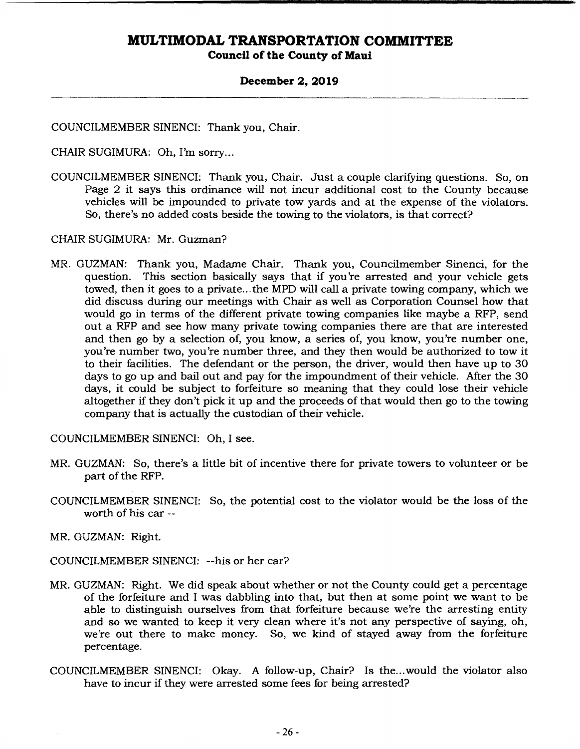**Council of the County of Maui** 

### **December 2, 2019**

COUNCILMEMBER SINENCI: Thank you, Chair.

CHAIR SUGIMURA: Oh, I'm sorry...

COUNCILMEMBER SINENCI: Thank you, Chair. Just a couple clarifying questions. So, on Page 2 it says this ordinance will not incur additional cost to the County because vehicles will be impounded to private tow yards and at the expense of the violators. So, there's no added costs beside the towing to the violators, is that correct?

CHAIR SUGIMURA: Mr. Guzman?

MR. GUZMAN: Thank you, Madame Chair. Thank you, Councilmember Sinenci, for the question. This section basically says that if you're arrested and your vehicle gets towed, then it goes to a private.., the MPD will call a private towing company, which we did discuss during our meetings with Chair as well as Corporation Counsel how that would go in terms of the different private towing companies like maybe a RFP, send out a RFP and see how many private towing companies there are that are interested and then go by a selection of, you know, a series of, you know, you're number one, you're number two, you're number three, and they then would be authorized to tow it to their facilities. The defendant or the person, the driver, would then have up to 30 days to go up and bail out and pay for the impoundment of their vehicle. After the 30 days, it could be subject to forfeiture so meaning that they could lose their vehicle altogether if they don't pick it up and the proceeds of that would then go to the towing company that is actually the custodian of their vehicle.

COUNCILMEMBER SINENCI: Oh, I see.

- MR. GUZMAN: So, there's a little bit of incentive there for private towers to volunteer or be part of the RFP.
- COUNCILMEMBER SINENCI: So, the potential cost to the violator would be the loss of the worth of his car --

MR. GUZMAN: Right.

COUNCILMEMBER SINENCI: --his or her car?

- MR. GUZMAN: Right. We did speak about whether or not the County could get a percentage of the forfeiture and I was dabbling into that, but then at some point we want to be able to distinguish ourselves from that forfeiture because we're the arresting entity and so we wanted to keep it very clean where it's not any perspective of saying, oh, we're out there to make money. So, we kind of stayed away from the forfeiture percentage.
- COUNCILMEMBER SINENCI: Okay. A follow-up, Chair? Is the.. .would the violator also have to incur if they were arrested some fees for being arrested?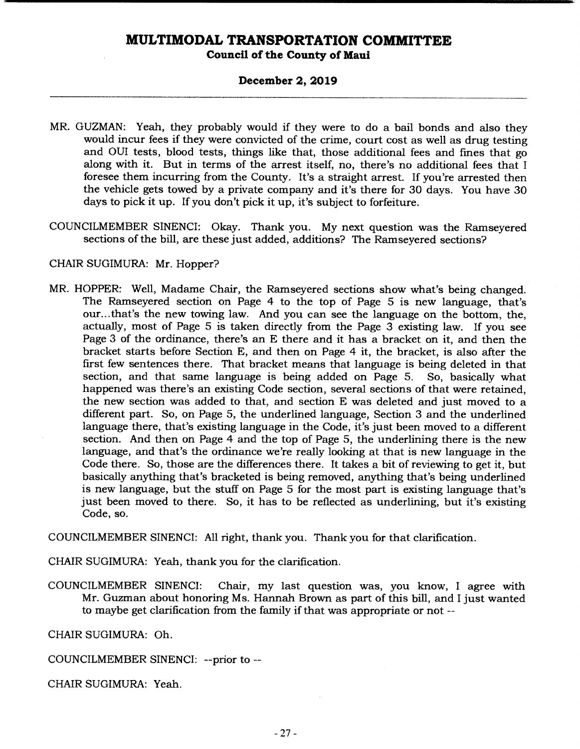### **Council of the County of Maui**

### **December 2, 2019**

- MR. GUZMAN: Yeah, they probably would if they were to do a bail bonds and also they would incur fees if they were convicted of the crime, court cost as well as drug testing and OUI tests, blood tests, things like that, those additional fees and fines that go along with it. But in terms of the arrest itself, no, there's no additional fees that I foresee them incurring from the County. It's a straight arrest. If you're arrested then the vehicle gets towed by a private company and it's there for 30 days. You have 30 days to pick it up. If you don't pick it up, it's subject to forfeiture.
- COUNCILMEMBER SINENCI: Okay. Thank you. My next question was the Ramseyered sections of the bill, are these just added, additions? The Ramseyered sections?

#### CHAIR SUGIMURA: Mr. Hopper?

MR. HOPPER: Well, Madame Chair, the Ramseyered sections show what's being changed. The Ramseyered section on Page 4 to the top of Page 5 is new language, that's our... that's the new towing law. And you can see the language on the bottom, the, actually, most of Page 5 is taken directly from the Page 3 existing law. If you see Page 3 of the ordinance, there's an E there and it has a bracket on it, and then the bracket starts before Section E, and then on Page 4 it, the bracket, is also alter the first few sentences there. That bracket means that language is being deleted in that section, and that same language is being added on Page 5. So, basically what happened was there's an existing Code section, several sections of that were retained, the new section was added to that, and section E was deleted and just moved to a different part. So, on Page 5, the underlined language, Section 3 and the underlined language there, that's existing language in the Code, it's just been moved to a different section. And then on Page 4 and the top of Page 5, the underlining there is the new language, and that's the ordinance we're really looking at that is new language in the Code there. So, those are the differences there. It takes a bit of reviewing to get it, but basically anything that's bracketed is being removed, anything that's being underlined is new language, but the stuff on Page 5 for the most part is existing language that's just been moved to there. So, it has to be reflected as underlining, but it's existing Code, so.

COUNCILMEMBER SINENCI: All right, thank you. Thank you for that clarification.

CHAIR SUGIMURA: Yeah, thank you for the clarification.

COUNCILMEMBER SINENCI: Chair, my last question was, you know, I agree with Mr. Guzman about honoring Ms. Hannah Brown as part of this bill, and I just wanted to maybe get clarification from the family if that was appropriate or not --

CHAIR SUGIMURA: Oh.

COUNCILMEMBER SINENCI: --prior to --

CHAIR SUGIMURA: Yeah.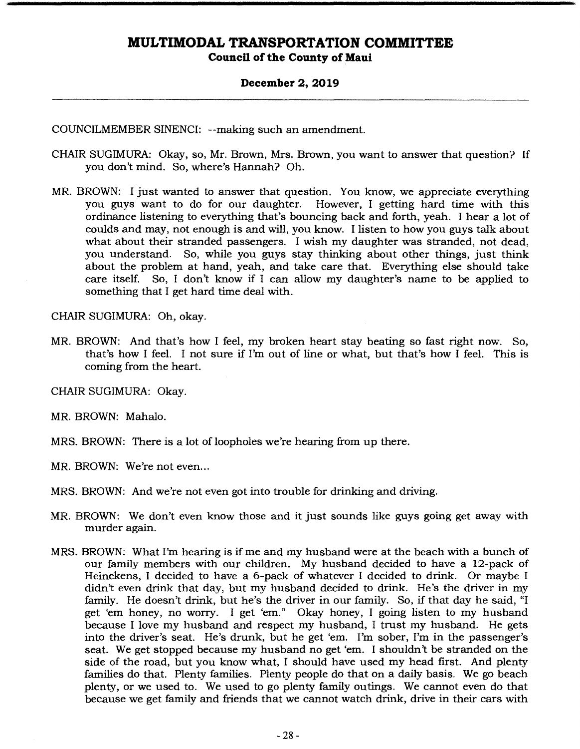#### **December 2, 2019**

COUNCILMEMBER SINENCI: --making such an amendment.

- CHAIR SUGIMURA: Okay, so, Mr. Brown, Mrs. Brown, you want to answer that question? If you don't mind. So, where's Hannah? Oh.
- MR. BROWN: I just wanted to answer that question. You know, we appreciate everything you guys want to do for our daughter. However, I getting hard time with this ordinance listening to everything that's bouncing back and forth, yeah. I hear a lot of coulds and may, not enough is and will, you know. I listen to how you guys talk about what about their stranded passengers. I wish my daughter was stranded, not dead, you understand. So, while you guys stay thinking about other things, just think about the problem at hand, yeah, and take care that. Everything else should take care itself. So, I don't know if I can allow my daughter's name to be applied to something that I get hard time deal with.

CHAIR SUGIMURA: Oh, okay.

MR. BROWN: And that's how I feel, my broken heart stay beating so fast right now. So, that's how I feel. I not sure if I'm out of line or what, but that's how I feel. This is coming from the heart.

CHAIR SUGIMURA: Okay.

MR. BROWN: Mahalo.

MRS. BROWN: There is a lot of loopholes we're hearing from up there.

MR. BROWN: We're not even...

MRS. BROWN: And we're not even got into trouble for drinking and driving.

- MR. BROWN: We don't even know those and it just sounds like guys going get away with murder again.
- MRS. BROWN: What I'm hearing is if me and my husband were at the beach with a bunch of our family members with our children. My husband decided to have a 12-pack of Heinekens, I decided to have a 6-pack of whatever I decided to drink. Or maybe I didn't even drink that day, but my husband decided to drink. He's the driver in my family. He doesn't drink, but he's the driver in our family. So, if that day he said, "I get 'em honey, no worry. I get 'em." Okay honey, I going listen to my husband because I love my husband and respect my husband, I trust my husband. He gets into the driver's seat. He's drunk, but he get 'em. I'm sober, I'm in the passenger's seat. We get stopped because my husband no get 'em. I shouldn't be stranded on the side of the road, but you know what, I should have used my head first. And plenty families do that. Plenty families. Plenty people do that on a daily basis. We go beach plenty, or we used to. We used to go plenty family outings. We cannot even do that because we get family and friends that we cannot watch drink, drive in their cars with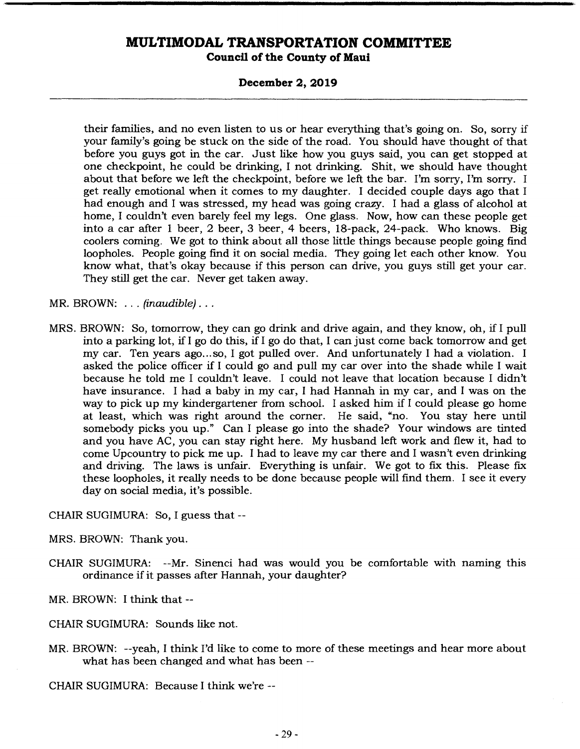**Council of the County of Maui** 

#### **December 2, 2019**

their families, and no even listen to us or hear everything that's going on. So, sorry if your family's going be stuck on the side of the road. You should have thought of that before you guys got in the car. Just like how you guys said, you can get stopped at one checkpoint, he could be drinking, I not drinking. Shit, we should have thought about that before we left the checkpoint, before we left the bar. I'm sorry, I'm sorry. I get really emotional when it comes to my daughter. I decided couple days ago that I had enough and I was stressed, my head was going crazy. I had a glass of alcohol at home, I couldn't even barely feel my legs. One glass. Now, how can these people get into a car after 1 beer, 2 beer, 3 beer, 4 beers, 18-pack, 24-pack. Who knows. Big coolers coming. We got to think about all those little things because people going find loopholes. People going find it on social media. They going let each other know. You know what, that's okay because if this person can drive, you guys still get your car. They still get the car. Never get taken away.

MR. BROWN: . . . *(inaudible)...* 

MRS. BROWN: So, tomorrow, they can go drink and drive again, and they know, oh, if I pull into a parking lot, if I go do this, if I go do that, I can just come back tomorrow and get my car. Ten years ago... so, I got pulled over. And unfortunately I had a violation. I asked the police officer if I could go and pull my car over into the shade while I wait because he told me I couldn't leave. I could not leave that location because I didn't have insurance. I had a baby in my car, I had Hannah in my car, and I was on the way to pick up my kindergartener from school. I asked him if I could please go home at least, which was right around the corner. He said, "no. You stay here until somebody picks you up." Can I please go into the shade? Your windows are tinted and you have AC, you can stay right here. My husband left work and flew it, had to come Upcountry to pick me up. I had to leave my car there and I wasn't even drinking and driving. The laws is unfair. Everything is unfair. We got to fix this. Please fix these loopholes, it really needs to be done because people will find them. I see it every day on social media, it's possible.

CHAIR SUGIMURA: So, I guess that --

MRS. BROWN: Thank you.

CHAIR SUGIMURA: --Mr. Sinenci had was would you be comfortable with naming this ordinance if it passes after Hannah, your daughter?

MR. BROWN: I think that -

CHAIR SUGIMURA: Sounds like not.

MR. BROWN: --yeah, I think I'd like to come to more of these meetings and hear more about what has been changed and what has been --

CHAIR SUGIMURA: Because I think we're --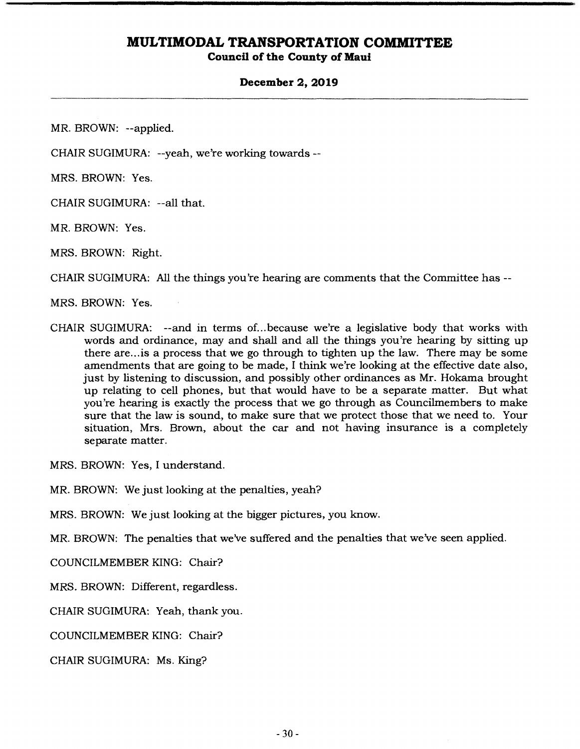### **Council of the County of Maui**

#### **December 2, 2019**

MR. BROWN: --applied.

CHAIR SUGIMURA: --yeah, we're working towards --

MRS. BROWN: Yes.

CHAIR SUGIMURA: --all that.

MR. BROWN: Yes.

MRS. BROWN: Right.

CHAIR SUGIMURA: All the things you're hearing are comments that the Committee has --

MRS. BROWN: Yes.

CHAIR SUGIMURA: --and in terms of... because we're a legislative body that works with words and ordinance, may and shall and all the things you're hearing by sitting up there are.., is a process that we go through to tighten up the law. There may be some amendments that are going to be made, I think we're looking at the effective date also, just by listening to discussion, and possibly other ordinances as Mr. Hokama brought up relating to cell phones, but that would have to be a separate matter. But what you're hearing is exactly the process that we go through as Councilmembers to make sure that the law is sound, to make sure that we protect those that we need to. Your situation, Mrs. Brown, about the car and not having insurance is a completely separate matter.

MRS. BROWN: Yes, I understand.

MR. BROWN: We just looking at the penalties, yeah?

MRS. BROWN: We just looking at the bigger pictures, you know.

MR. BROWN: The penalties that we've suffered and the penalties that we've seen applied.

COUNCILMEMBER KING: Chair?

MRS. BROWN: Different, regardless.

CHAIR SUGIMURA: Yeah, thank you.

COUNCILMEMBER KING: Chair?

CHAIR SUGIMURA: Ms. King?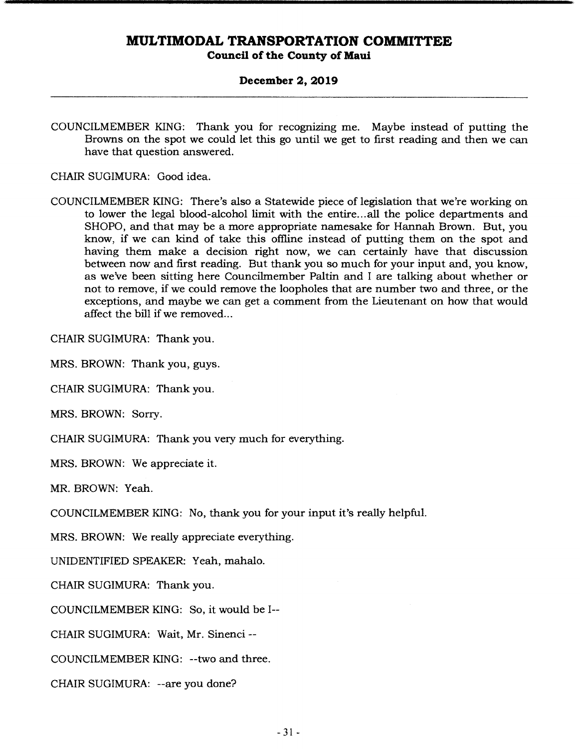**Council of the County of Maui** 

### **December 2, 2019**

COUNCILMEMBER KING: Thank you for recognizing me. Maybe instead of putting the Browns on the spot we could let this go until we get to first reading and then we can have that question answered.

CHAIR SUGIMURA: Good idea.

COUNCILMEMBER KING: There's also a Statewide piece of legislation that we're working on to lower the legal blood-alcohol limit with the entire... all the police departments and SHOPO, and that may be a more appropriate namesake for Hannah Brown. But, you know, if we can kind of take this ofifine instead of putting them on the spot and having them make a decision right now, we can certainly have that discussion between now and first reading. But thank you so much for your input and, you know, as we've been sitting here Councilmember Paltin and I are talking about whether or not to remove, if we could remove the loopholes that are number two and three, or the exceptions, and maybe we can get a comment from the Lieutenant on how that would affect the bill if we removed...

CHAIR SUGIMURA: Thank you.

MRS. BROWN: Thank you, guys.

CHAIR SUGIMURA: Thank you.

MRS. BROWN: Sorry.

CHAIR SUGIMURA: Thank you very much for everything.

MRS. BROWN: We appreciate it.

MR. BROWN: Yeah.

COUNCILMEMBER KING: No, thank you for your input it's really helpful.

MRS. BROWN: We really appreciate everything.

UNIDENTIFIED SPEAKER: Yeah, mahalo.

CHAIR SUGIMURA: Thank you.

COUNCILMEMBER KING: So, it would be I--

CHAIR SUGIMURA: Wait, Mr. Sinenci --

COUNCILMEMBER KING: --two and three.

CHAIR SUGIMURA: --are you done?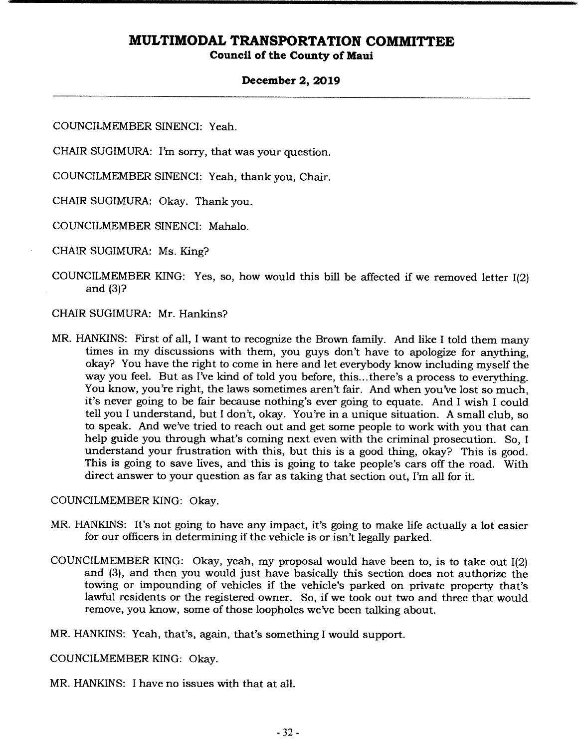### **Council of the County of Maui**

### **December 2, 2019**

COUNCILMEMBER SINENCI: Yeah.

CHAIR SUGIMURA: I'm sorry, that was your question.

COUNCILMEMBER SINENCI: Yeah, thank you, Chair.

CHAIR SUGIMURA: Okay. Thank you.

COUNCILMEMBER SINENCI: Mahalo.

CHAIR SUGIMURA: Ms. King?

COUNCILMEMBER KING: Yes, so, how would this bill be affected if we removed letter 1(2) and (3)?

### CHAIR SUGIMURA: Mr. Hankins?

MR. HANKINS: First of all, I want to recognize the Brown family. And like I told them many times in my discussions with them, you guys don't have to apologize for anything, okay? You have the right to come in here and let everybody know including myself the way you feel. But as I've kind of told you before, this... there's a process to everything. You know, you're right, the laws sometimes aren't fair. And when you've lost so much, it's never going to be fair because nothing's ever going to equate. And I wish I could tell you I understand, but I don't, okay. You're in a unique situation. A small club, so to speak. And we've tried to reach out and get some people to work with you that can help guide you through what's coming next even with the criminal prosecution. So, I understand your frustration with this, but this is a good thing, okay? This is good. This is going to save lives, and this is going to take people's cars off the road. With direct answer to your question as far as taking that section out, I'm all for it.

#### COUNCILMEMBER KING: Okay.

- MR. HANKINS: It's not going to have any impact, it's going to make life actually a lot easier for our officers in determining if the vehicle is or isn't legally parked.
- COUNCILMEMBER KING: Okay, yeah, my proposal would have been to, is to take out 1(2) and (3), and then you would just have basically this section does not authorize the towing or impounding of vehicles if the vehicle's parked on private property that's lawful residents or the registered owner. So, if we took out two and three that would remove, you know, some of those loopholes we've been talking about.

MR. HANKINS: Yeah, that's, again, that's something I would support.

COUNCILMEMBER KING: Okay.

MR. HANKINS: I have no issues with that at all.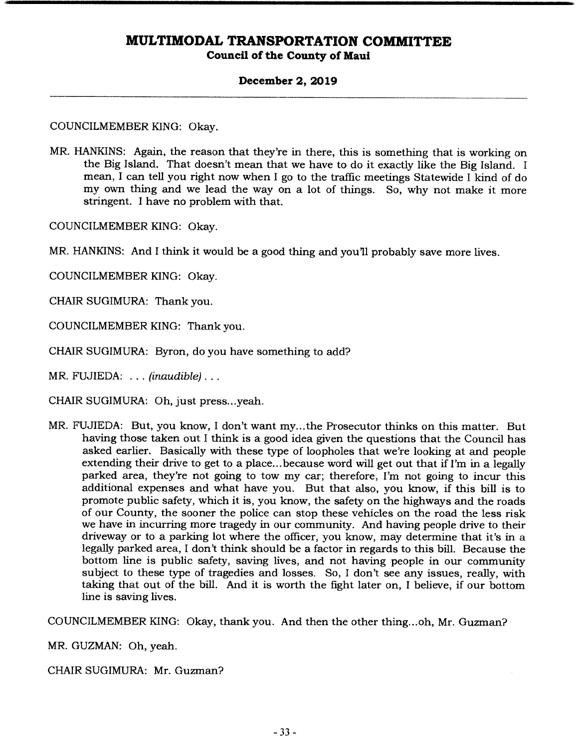**Council of the County of Maui** 

### **December 2, 2019**

COUNCILMEMBER KING: Okay.

MR. HANKINS: Again, the reason that they're in there, this is something that is working on the Big Island. That doesn't mean that we have to do it exactly like the Big Island. I mean, I can tell you right now when I go to the traffic meetings Statewide I kind of do my own thing and we lead the way on a lot of things. So, why not make it more stringent. I have no problem with that.

COUNCILMEMBER KING: Okay.

MR. HANKINS: And I think it would be a good thing and you'll probably save more lives.

COUNCILMEMBER KING: Okay.

CHAIR SUGIMURA: Thank you.

COUNCILMEMBER KING: Thank you.

CHAIR SUGIMURA: Byron, do you have something to add?

*MR. FUJIEDA:* ... *(inaudible)...* 

CHAIR SUGIMURA: Oh, just press.. .yeah.

MR. FUJIEDA: But, you know, I don't want my... the Prosecutor thinks on this matter. But having those taken out I think is a good idea given the questions that the Council has asked earlier. Basically with these type of loopholes that we're looking at and people extending their drive to get to a place... because word will get out that if I'm in a legally parked area, they're not going to tow my car; therefore, I'm not going to incur this additional expenses and what have you. But that also, you know, if this bill is to promote public safety, which it is, you know, the safety on the highways and the roads of our County, the sooner the police can stop these vehicles on the road the less risk we have in incurring more tragedy in our community. And having people drive to their driveway or to a parking lot where the officer, you know, may determine that it's in a legally parked area, I don't think should be a factor in regards to this bill. Because the bottom line is public safety, saving lives, and not having people in our community subject to these type of tragedies and losses. So, I don't see any issues, really, with taking that out of the bill. And it is worth the fight later on, I believe, if our bottom line is saving lives.

COUNCILMEMBER KING: Okay, thank you. And then the other thing.. .oh, Mr. Guzman?

MR. GUZMAN: Oh, yeah.

CHAIR SUGIMURA: Mr. Guzman?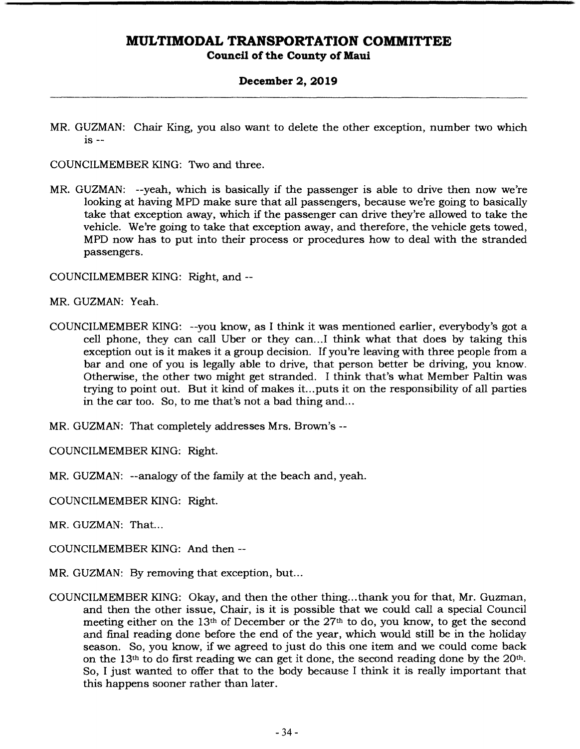**Council of the County of Maui** 

### **December 2, 2019**

MR. GUZMAN: Chair King, you also want to delete the other exception, number two which is --

COUNCILMEMBER KING: Two and three.

MR. GUZMAN: --yeah, which is basically if the passenger is able to drive then now we're looking at having MPD make sure that all passengers, because we're going to basically take that exception away, which if the passenger can drive they're allowed to take the vehicle. We're going to take that exception away, and therefore, the vehicle gets towed, MPD now has to put into their process or procedures how to deal with the stranded passengers.

COUNCILMEMBER KING: Right, and --

MR. GUZMAN: *Yeah.* 

COUNCILMEMBER KING: --you know, as I think it was mentioned earlier, everybody's got a cell phone, they can call Uber or they can... I think what that does by taking this exception out is it makes it a group decision. If you're leaving with three people from a bar and one of you is legally able to drive, that person better be driving, you know. Otherwise, the other two might get stranded. I think that's what Member Paltin was trying to point out. But it kind of makes it... puts it on the responsibility of all parties in the car too. So, to me that's not a bad thing and...

MR. GUZMAN: That completely addresses Mrs. Brown's --

COUNCILMEMBER KING: Right.

MR. GUZMAN: --analogy of the family at the beach and, yeah.

COUNCILMEMBER KING: Right.

MR. GUZMAN: That...

COUNCILMEMBER KING: And then --

- MR. GUZMAN: By removing that exception, but...
- COUNCILMEMBER KING: Okay, and then the other thing... thank you for that, Mr. Guzman, and then the other issue, Chair, is it is possible that we could call a special Council meeting either on the 13th of December or the 27th to do, you know, to get the second and final reading done before the end of the year, which would still be in the holiday season. So, you know, if we agreed to just do this one item and we could come back on the  $13<sup>th</sup>$  to do first reading we can get it done, the second reading done by the  $20<sup>th</sup>$ . So, I just wanted to offer that to the body because I think it is really important that this happens sooner rather than later.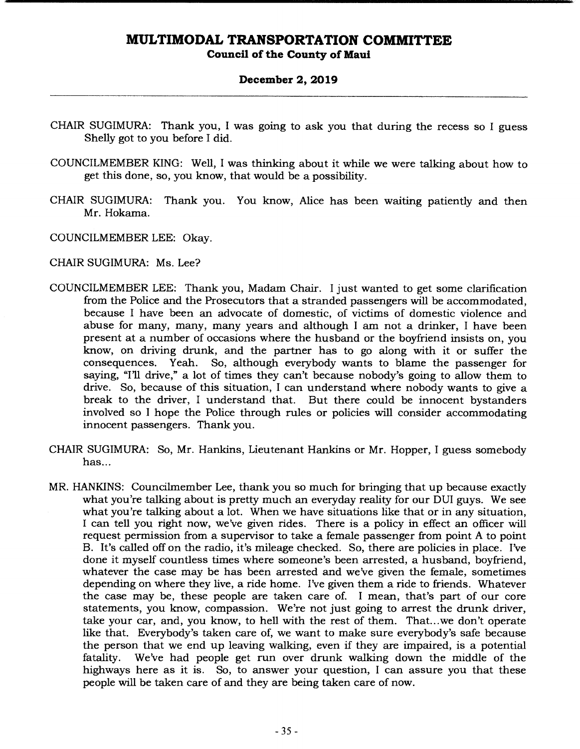### **Council of the County of Maui**

#### **December 2, 2019**

- CHAIR SUGIMURA: Thank you, I was going to ask you that during the recess so I guess Shelly got to you before I did.
- COUNCILMEMBER KING: Well, I was thinking about it while we were talking about how to get this done, so, you know, that would be a possibility.
- CHAIR SUGIMURA: Thank you. You know, Alice has been waiting patiently and then Mr. Hokama.
- COUNCILMEMBER LEE: Okay.

### CHAIR SUGIMURA: Ms. Lee?

- COUNCILMEMBER LEE: Thank you, Madam Chair. I just wanted to get some clarification from the Police and the Prosecutors that a stranded passengers will be accommodated, because I have been an advocate of domestic, of victims of domestic violence and abuse for many, many, many years and although I am not a drinker, I have been present at a number of occasions where the husband or the boyfriend insists on, you know, on driving drunk, and the partner has to go along with it or suffer the consequences. Yeah. So, although everybody wants to blame the passenger for saying, "I'll drive," a lot of times they can't because nobody's going to allow them to drive. So, because of this situation, I can understand where nobody wants to give a break to the driver, I understand that. But there could be innocent bystanders involved so I hope the Police through rules or policies will consider accommodating innocent passengers. Thank you.
- CHAIR SUGIMURA: So, Mr. Hankins, Lieutenant Hankins or Mr. Hopper, I guess somebody has...
- MR. HANKINS: Councilmember Lee, thank you so much for bringing that up because exactly what you're talking about is pretty much an everyday reality for our DUI guys. We see what you're talking about a lot. When we have situations like that or in any situation, I can tell you right now, we've given rides. There is a policy in effect an officer will request permission from a supervisor to take a female passenger from point A to point B. It's called off on the radio, it's mileage checked. So, there are policies in place. I've done it myself countless times where someone's been arrested, a husband, boyfriend, whatever the case may be has been arrested and we've given the female, sometimes depending on where they live, a ride home. I've given them a ride to friends. Whatever the case may be, these people are taken care of. I mean, that's part of our core statements, you know, compassion. We're not just going to arrest the drunk driver, take your car, and, you know, to hell with the rest of them. That.. .we don't operate like that. Everybody's taken care of, we want to make sure everybody's sale because the person that we end up leaving walking, even if they are impaired, is a potential fatality. We've had people get run over drunk walking down the middle of the highways here as it is. So, to answer your question, I can assure you that these people will be taken care of and they are being taken care of now.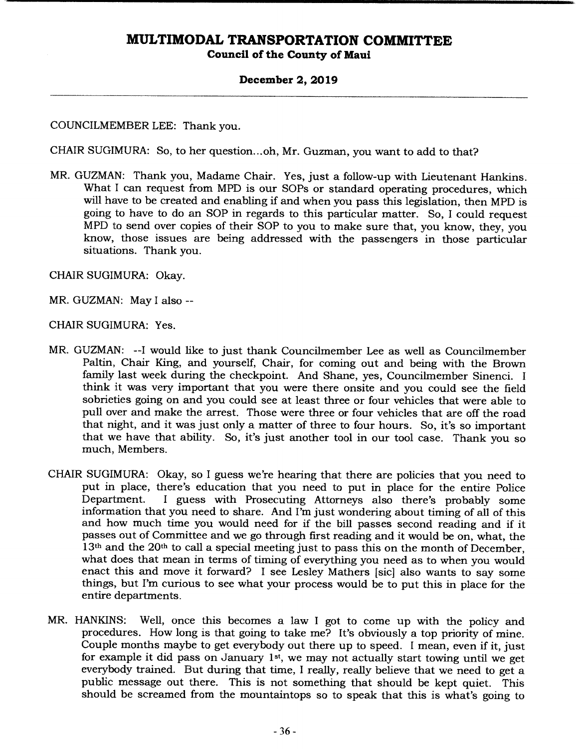### **Council of the County of Maui**

### **December 2, 2019**

### COUNCILMEMBER LEE: Thank you.

CHAIR SUGIMURA: So, to her question... oh, Mr. Guzman, you want to add to that?

MR. GUZMAN: Thank you, Madame Chair. Yes, just a follow-up with Lieutenant Hankins. What I can request from MPD is our SOPs or standard operating procedures, which will have to be created and enabling if and when you pass this legislation, then MPD is going to have to do an SOP in regards to this particular matter. So, I could request MPD to send over copies of their SOP to you to make sure that, you know, they, you know, those issues are being addressed with the passengers in those particular situations. Thank you.

CHAIR SUGIMURA: Okay.

- MR. GUZMAN: May I also --
- CHAIR SUGIMURA: Yes.
- MR. GUZMAN: --I would like to just thank Councilmember Lee as well as Councilmember Paltin, Chair King, and yourself, Chair, for coming out and being with the Brown family last week during the checkpoint. And Shane, yes, Councilmember Sinenci. I think it was very important that you were there onsite and you could see the field sobrieties going on and you could see at least three or four vehicles that were able to pull over and make the arrest. Those were three or four vehicles that are off the road that night, and it was just only a matter of three to four hours. So, it's so important that we have that ability. So, it's just another tool in our tool case. Thank you so much, Members.
- CHAIR SUGIMURA: Okay, so I guess we're hearing that there are policies that you need to put in place, there's education that you need to put in place for the entire Police<br>Department. I guess with Prosecuting Attorneys also there's probably some I guess with Prosecuting Attorneys also there's probably some information that you need to share. And I'm just wondering about timing of all of this and how much time you would need for if the bill passes second reading and if it passes out of Committee and we go through first reading and it would be on, what, the 13<sup>th</sup> and the 20<sup>th</sup> to call a special meeting just to pass this on the month of December, what does that mean in terms of timing of everything you need as to when you would enact this and move it forward? I see Lesley Mathers [sic] also wants to say some things, but I'm curious to see what your process would be to put this in place for the entire departments.
- MR. HANKINS: Well, once this becomes a law I got to come up with the policy and procedures. How long is that going to take me? It's obviously a top priority of mine. Couple months maybe to get everybody out there up to speed. I mean, even if it, just for example it did pass on January 1st, we may not actually start towing until we get everybody trained. But during that time, I really, really believe that we need to get a public message out there. This is not something that should be kept quiet. This should be screamed from the mountaintops so to speak that this is what's going to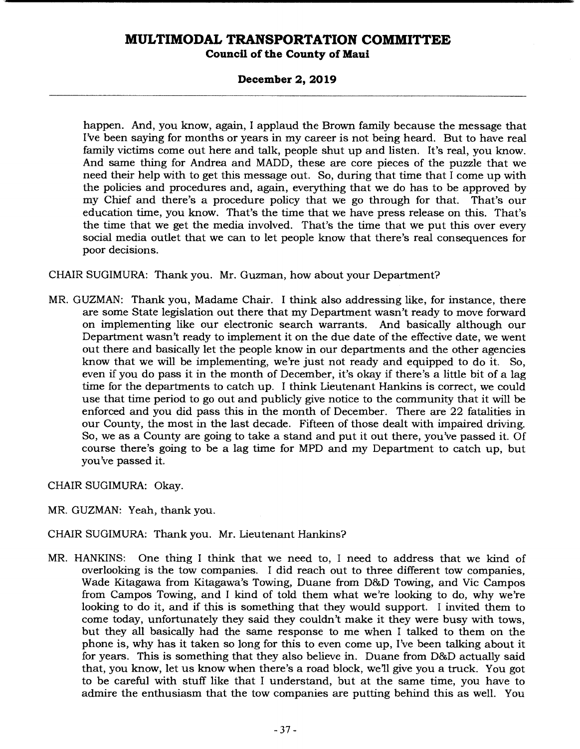### **December 2, 2019**

happen. And, you know, again, I applaud the Brown family because the message that I've been saying for months or years in my career is not being heard. But to have real family victims come out here and talk, people shut up and listen. It's real, you know. And same thing for Andrea and MADD, these are core pieces of the puzzle that we need their help with to get this message out. So, during that time that I come up with the policies and procedures and, again, everything that we do has to be approved by my Chief and there's a procedure policy that we go through for that. That's our education time, you know. That's the time that we have press release on this. That's the time that we get the media involved. That's the time that we put this over every social media outlet that we can to let people know that there's real consequences for poor decisions.

### CHAIR SUGIMURA: Thank you. Mr. Guzman, how about your Department?

MR. GUZMAN: Thank you, Madame Chair. I think also addressing like, for instance, there are some State legislation out there that my Department wasn't ready to move forward on implementing like our electronic search warrants. And basically although our Department wasn't ready to implement it on the due date of the effective date, we went out there and basically let the people know in our departments and the other agencies know that we will be implementing, we're just not ready and equipped to do it. So, even if you do pass it in the month of December, it's okay if there's a little bit of a lag time for the departments to catch up. I think Lieutenant Hankins is correct, we could use that time period to go out and publicly give notice to the community that it will be enforced and you did pass this in the month of December. There are 22 fatalities in our County, the most in the last decade. Fifteen of those dealt with impaired driving. So, we as a County are going to take a stand and put it out there, you've passed it. Of course there's going to be a lag time for MPD and my Department to catch up, but you've passed it.

CHAIR SUGIMURA: Okay.

MR. GUZMAN: Yeah, thank you.

CHAIR SUGIMURA: Thank you. Mr. Lieutenant Hankins?

MR. HANKINS: One thing I think that we need to, I need to address that we kind of overlooking is the tow companies. I did reach out to three different tow companies, Wade Kitagawa from Kitagawa's Towing, Duane from D&D Towing, and Vic Campos from Campos Towing, and I kind of told them what we're looking to do, why we're looking to do it, and if this is something that they would support. I invited them to come today, unfortunately they said they couldn't make it they were busy with tows, but they all basically had the same response to me when I talked to them on the phone is, why has it taken so long for this to even come up, I've been talking about it for years. This is something that they also believe in. Duane from D&D actually said that, you know, let us know when there's a road block, well give you a truck. You got to be careful with stuff like that I understand, but at the same time, you have to admire the enthusiasm that the tow companies are putting behind this as well. You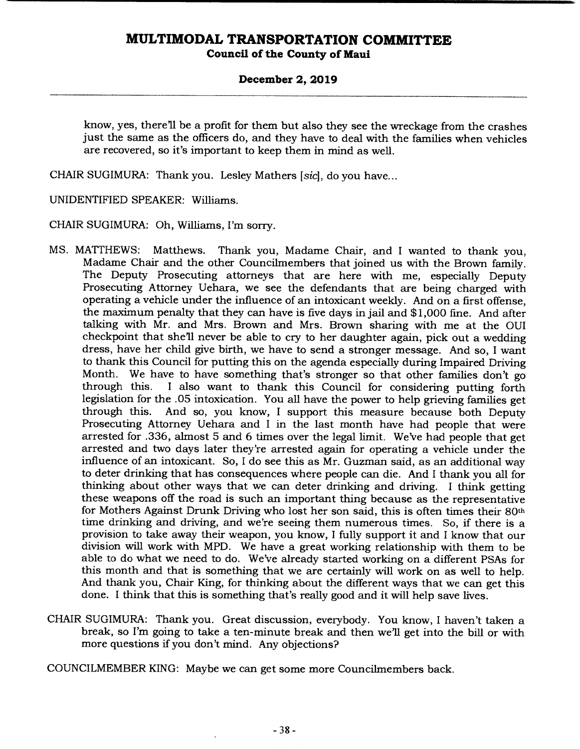### **December 2, 2019**

know, yes, there'll be a profit for them but also they see the wreckage from the crashes just the same as the officers do, and they have to deal with the families when vehicles are recovered, so it's important to keep them in mind as well.

CHAIR SUGIMURA: Thank you. Lesley Mathers *[sic],* do you have...

UNIDENTIFIED SPEAKER: Williams.

CHAIR SUGIMURA: Oh, Williams, I'm sorry.

- MS. MATTHEWS: Matthews. Thank you, Madame Chair, and I wanted to thank you, Madame Chair and the other Councilmembers that joined us with the Brown family. The Deputy Prosecuting attorneys that are here with me, especially Deputy Prosecuting Attorney Uehara, we see the defendants that are being charged with operating a vehicle under the influence of an intoxicant weekly. And on a first offense, the maximum penalty that they can have is five days in jail and \$1,000 fine. And after talking with Mr. and Mrs. Brown and Mrs. Brown sharing with me at the OUI checkpoint that she'll never be able to cry to her daughter again, pick out a wedding dress, have her child give birth, we have to send a stronger message. And so, I want to thank this Council for putting this on the agenda especially during Impaired Driving Month. We have to have something that's stronger so that other families don't go through this. I also want to thank this Council for considering putting forth I also want to thank this Council for considering putting forth legislation for the .05 intoxication. You all have the power to help grieving families get And so, you know, I support this measure because both Deputy Prosecuting Attorney Uehara and I in the last month have had people that were arrested for .336, almost 5 and 6 times over the legal limit. We've had people that get arrested and two days later they're arrested again for operating a vehicle under the influence of an intoxicant. So, I do see this as Mr. Guzman said, as an additional way to deter drinking that has consequences where people can die. And I thank you all for thinking about other ways that we can deter drinking and driving. I think getting these weapons off the road is such an important thing because as the representative for Mothers Against Drunk Driving who lost her son said, this is often times their 80th time drinking and driving, and we're seeing them numerous times. So, if there is a provision to take away their weapon, you know, I fully support it and I know that our division will work with MPD. We have a great working relationship with them to be able to do what we need to do. We've already started working on a different PSAs for this month and that is something that we are certainly will work on as well to help. And thank you, Chair King, for thinking about the different ways that we can get this done. I think that this is something that's really good and it will help save lives.
- CHAIR SUGIMURA: Thank you. Great discussion, everybody. You know, I haven't taken a break, so I'm going to take a ten-minute break and then well get into the bill or with more questions if you don't mind. Any objections?

COUNCILMEMBER KING: Maybe we can get some more Councilmembers back.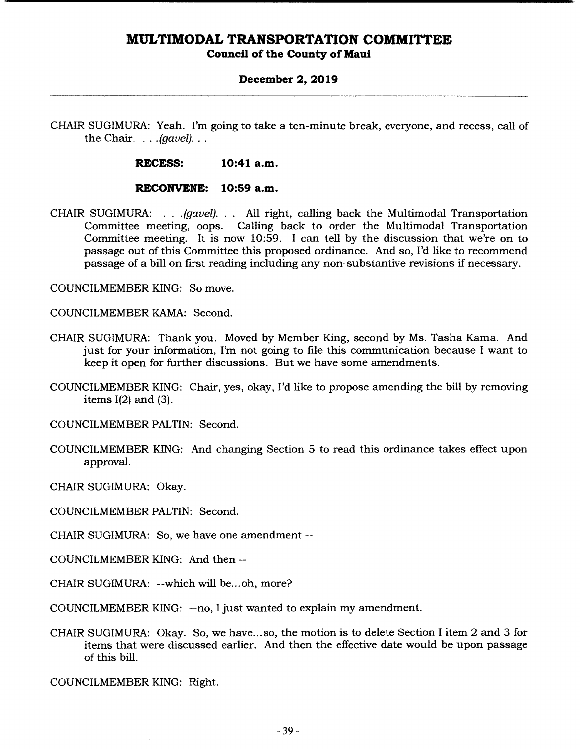### **Council of the County of Maui**

#### **December 2, 2019**

CHAIR SUGIMURA: Yeah. I'm going to take a ten-minute break, everyone, and recess, call of *the Chair.* . . .*(gavel)...* 

**RECESS: 10:41 a.m.** 

#### **RECONVENE: 10:59 a.m.**

CHAIR SUGIMURA: . . . *(gavel).* . . All right, calling back the Multimodal Transportation Committee meeting, oops. Calling back to order the Multimodal Transportation Committee meeting. It is now 10:59. I can tell by the discussion that we're on to passage out of this Committee this proposed ordinance. And so, I'd like to recommend passage of a bill on first reading including any non-substantive revisions if necessary.

COUNCILMEMBER KING: So move.

COUNCILMEMBER KAMA: Second.

- CHAIR SUGIMURA: Thank you. Moved by Member King, second by Ms. Tasha Kama. And just for your information, I'm not going to file this communication because I want to keep it open for further discussions. But we have some amendments.
- COUNCILMEMBER KING: Chair, yes, okay, I'd like to propose amending the bill by removing items  $I(2)$  and  $(3)$ .

COUNCILMEMBER PALTIN: Second.

COUNCILMEMBER KING: And changing Section 5 to read this ordinance takes effect upon approval.

CHAIR SUGIMURA: Okay.

COUNCILMEMBER PALTIN: Second.

CHAIR SUGIMURA: So, we have one amendment --

COUNCILMEMBER KING: And then --

CHAIR SUGIMURA: --which will be... oh, more?

COUNCILMEMBER KING: --no, I just wanted to explain my amendment.

CHAIR SUGIMURA: Okay. So, we have.., so, the motion is to delete Section I item 2 and 3 for items that were discussed earlier. And then the effective date would be upon passage of this bill.

COUNCILMEMBER KING: Right.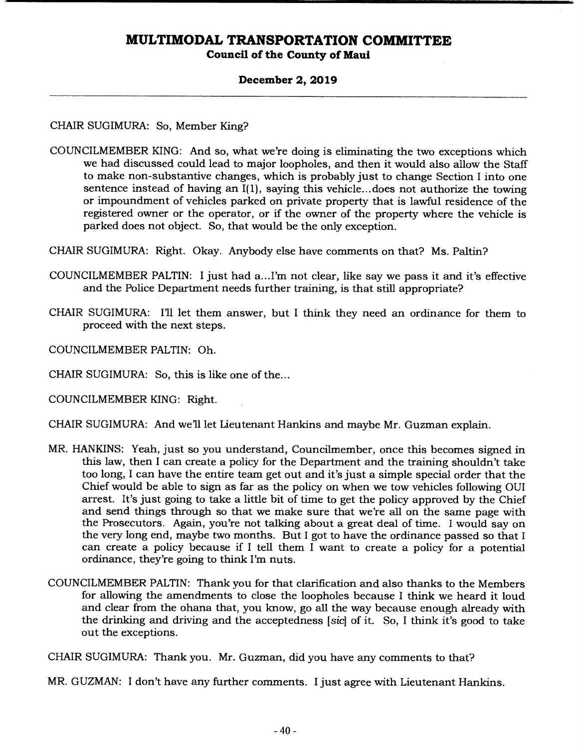### **Council of the County of Maui**

#### **December 2, 2019**

CHAIR SUGIMURA: So, Member King?

COUNCILMEMBER KING: And so, what we're doing is eliminating the two exceptions which we had discussed could lead to major loopholes, and then it would also allow the Staff to make non-substantive changes, which is probably just to change Section I into one sentence instead of having an 1(1), saying this vehicle...does not authorize the towing or impoundment of vehicles parked on private property that is lawful residence of the registered owner or the operator, or if the owner of the property where the vehicle is parked does not object. So, that would be the only exception.

CHAIR SUGIMURA: Right. Okay. Anybody else have comments on that? Ms. Paltin?

- COUNCILMEMBER PALTIN: I just had a... I'm not clear, like say we pass it and it's effective and the Police Department needs further training, is that still appropriate?
- CHAIR SUGIMURA: I'll let them answer, but I think they need an ordinance for them to proceed with the next steps.

COUNCILMEMBER PALTIN: Oh.

CHAIR SUGIMURA: So, this is like one of the...

COUNCILMEMBER KING: Right.

CHAIR SUGIMURA: And we'll let Lieutenant Hankins and maybe Mr. Guzman explain.

- MR. HANKINS: Yeah, just so you understand, Councilmember, once this becomes signed in this law, then I can create a policy for the Department and the training shouldn't take too long, I can have the entire team get out and it's just a simple special order that the Chief would be able to sign as far as the policy on when we tow vehicles following OUI arrest. It's just going to take a little bit of time to get the policy approved by the Chief and send things through so that we make sure that we're all on the same page with the Prosecutors. Again, you're not talking about a great deal of time. I would say on the very long end, maybe two months. But I got to have the ordinance passed so that I can create a policy because if I tell them I want to create a policy for a potential ordinance, they're going to think I'm nuts.
- COUNCILMEMBER PALTIN: Thank you for that clarification and also thanks to the Members for allowing the amendments to close the loopholes because I think we heard it loud and clear from the ohana that, you know, go all the way because enough already with the drinking and driving and the acceptedness *[sic]* of it. So, I think it's good to take out the exceptions.

CHAIR SUGIMURA: Thank you. Mr. Guzman, did you have any comments to that?

MR. GUZMAN: I don't have any further comments. I just agree with Lieutenant Hankins.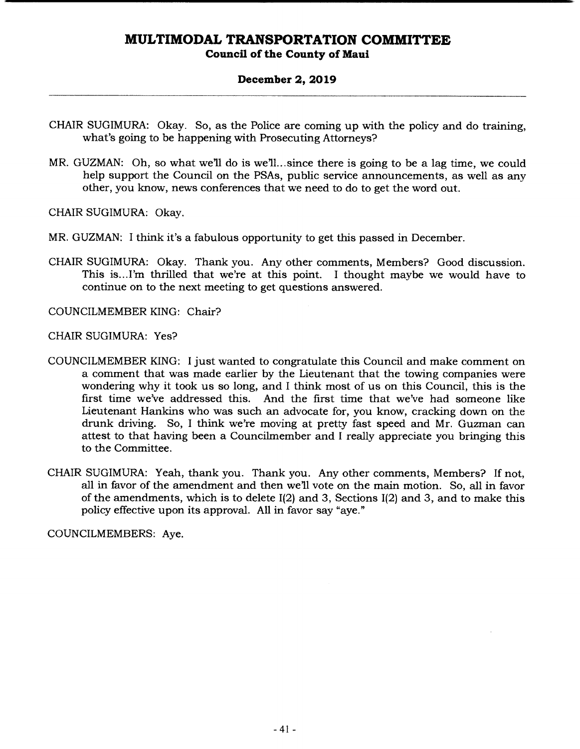### **December 2, 2019**

- CHAIR SUGIMURA: Okay. So, as the Police are coming up with the policy and do training, what's going to be happening with Prosecuting Attorneys?
- MR. GUZMAN: Oh, so what we'll do is we'll...since there is going to be a lag time, we could help support the Council on the PSAs, public service announcements, as well as any other, you know, news conferences that we need to do to get the word out.

CHAIR SUGIMURA: Okay.

- MR. GUZMAN: I think it's a fabulous opportunity to get this passed in December.
- CHAIR SUGIMURA: Okay. Thank you. Any other comments, Members? Good discussion. This is... I'm thrilled that we're at this point. I thought maybe we would have to continue on to the next meeting to get questions answered.

COUNCILMEMBER KING: Chair?

CHAIR SUGIMURA: Yes?

- COUNCILMEMBER KING: I just wanted to congratulate this Council and make comment on a comment that was made earlier by the Lieutenant that the towing companies were wondering why it took us so long, and I think most of us on this Council, this is the first time we've addressed this. And the first time that we've had someone like Lieutenant Hankins who was such an advocate for, you know, cracking down on the drunk driving. So, I think we're moving at pretty fast speed and Mr. Guzman can attest to that having been a Councihnember and I really appreciate you bringing this to the Committee.
- CHAIR SUGIMURA: Yeah, thank you. Thank you. Any other comments, Members? If not, all in favor of the amendment and then well vote on the main motion. So, all in favor of the amendments, which is to delete 1(2) and 3, Sections 1(2) and 3, and to make this policy effective upon its approval. All in favor say "aye."

COUNCILMEMBERS: Aye.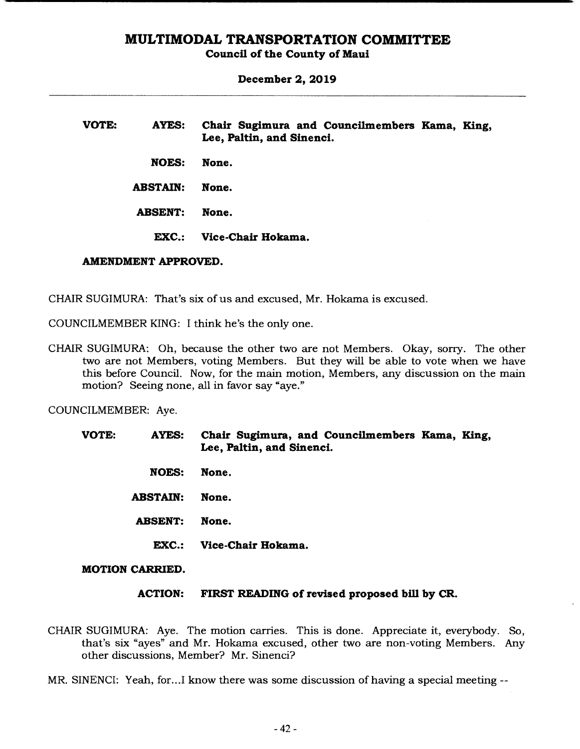**Council of the County of Maui** 

**December 2, 2019** 

| VOTE: | <b>AYES:</b>    | Chair Sugimura and Councilmembers Kama, King,<br>Lee, Paltin, and Sinenci. |  |
|-------|-----------------|----------------------------------------------------------------------------|--|
|       | <b>NOES:</b>    | None.                                                                      |  |
|       | <b>ABSTAIN:</b> | None.                                                                      |  |
|       | <b>ABSENT:</b>  | None.                                                                      |  |
|       | <b>EXC.:</b>    | Vice-Chair Hokama.                                                         |  |

#### **AMENDMENT APPROVED.**

CHAIR SUGIMURA: That's six of us and excused, Mr. Hokama is excused.

COUNCILMEMBER KING: I think he's the only one.

CHAIR SUGIMURA: Oh, because the other two are not Members. Okay, sorry. The other two are not Members, voting Members. But they will be able to vote when we have this before Council. Now, for the main motion, Members, any discussion on the main motion? Seeing none, all in favor say "aye."

COUNCILMEMBER: Aye.

| <b>VOTE:</b> | <b>AYES:</b>    | Chair Sugimura, and Councilmembers Kama, King,<br>Lee, Paltin, and Sinenci. |
|--------------|-----------------|-----------------------------------------------------------------------------|
|              | <b>NOES:</b>    | None.                                                                       |
|              | <b>ABSTAIN:</b> | None.                                                                       |
|              | <b>ABSENT:</b>  | None.                                                                       |
|              | EXC.:           | Vice-Chair Hokama.                                                          |
|              |                 |                                                                             |

#### **MOTION CARRIED.**

#### **ACTION: FIRST READING of revised proposed bill by CR.**

CHAIR SUGIMURA: Aye. The motion carries. This is done. Appreciate it, everybody. So, that's six "ayes" and Mr. Hokama excused, other two are non-voting Members. Any other discussions, Member? Mr. Sinenci?

MR. SINENCI: Yeah, for...I know there was some discussion of having a special meeting --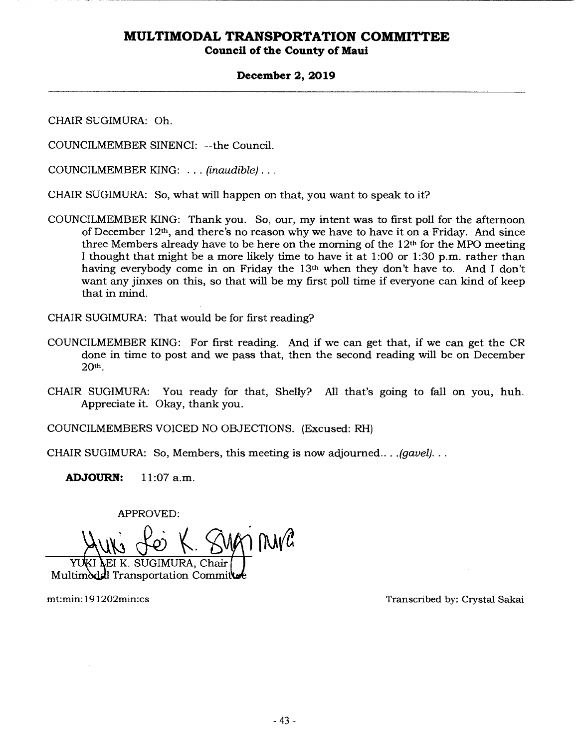### **December 2, 2019**

CHAIR SUGIMURA: Oh.

COUNCILMEMBER SINENCI: --the Council.

COUNCILMEMBER KING: ... *(inaudible)...* 

CHAIR SUGIMURA: So, what will happen on that, you want to speak to it?

COUNCILMEMBER KING: Thank you. So, our, my intent was to first poll for the afternoon of December  $12<sup>th</sup>$ , and there's no reason why we have to have it on a Friday. And since three Members already have to be here on the morning of the  $12<sup>th</sup>$  for the MPO meeting I thought that might be a more likely time to have it at 1:00 or 1:30 p.m. rather than having everybody come in on Friday the 13th when they don't have to. And I don't want any jinxes on this, so that will be my first poll time if everyone can kind of keep that in mind.

CHAIR SUGIMURA: That would be for first reading?

- COUNCILMEMBER KING: For first reading. And if we can get that, if we can get the CR done in time to post and we pass that, then the second reading will be on December 20th.
- CHAIR SUGIMURA: You ready for that, Shelly? All that's going to fall on you, huh. Appreciate it. Okay, thank you.

COUNCILMEMBERS VOICED NO OBJECTIONS. (Excused: RH)

CHAIR SUGIMURA: So, Members, this meeting is now adjourned... *.(gavel)...* 

**ADJOURN:** 11:07a.m.

APPROVED:

IK's Lei K. SURM MUR URA, Chair

Multimodal Transportation Committee

mt:min: 19 l2O2min:cs Transcribed by: Crystal Sakai